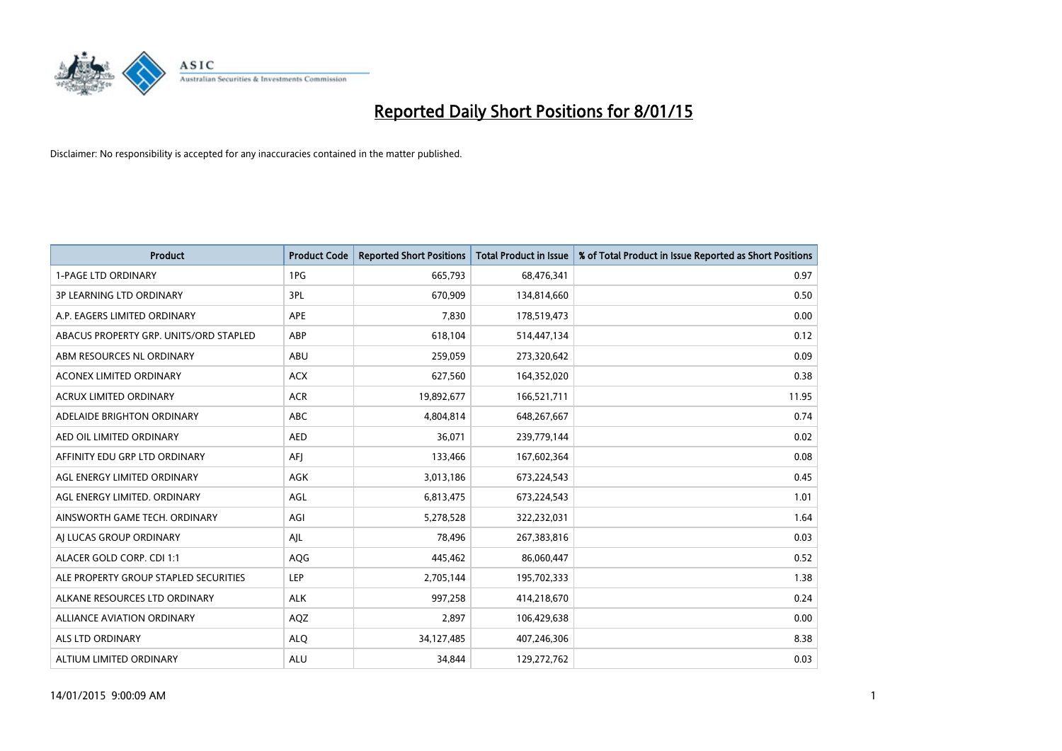

| <b>Product</b>                         | <b>Product Code</b> | <b>Reported Short Positions</b> | <b>Total Product in Issue</b> | % of Total Product in Issue Reported as Short Positions |
|----------------------------------------|---------------------|---------------------------------|-------------------------------|---------------------------------------------------------|
| <b>1-PAGE LTD ORDINARY</b>             | 1PG                 | 665,793                         | 68,476,341                    | 0.97                                                    |
| <b>3P LEARNING LTD ORDINARY</b>        | 3PL                 | 670,909                         | 134,814,660                   | 0.50                                                    |
| A.P. EAGERS LIMITED ORDINARY           | APE                 | 7,830                           | 178,519,473                   | 0.00                                                    |
| ABACUS PROPERTY GRP. UNITS/ORD STAPLED | <b>ABP</b>          | 618,104                         | 514,447,134                   | 0.12                                                    |
| ABM RESOURCES NL ORDINARY              | ABU                 | 259,059                         | 273,320,642                   | 0.09                                                    |
| <b>ACONEX LIMITED ORDINARY</b>         | <b>ACX</b>          | 627,560                         | 164,352,020                   | 0.38                                                    |
| <b>ACRUX LIMITED ORDINARY</b>          | <b>ACR</b>          | 19,892,677                      | 166,521,711                   | 11.95                                                   |
| ADELAIDE BRIGHTON ORDINARY             | <b>ABC</b>          | 4,804,814                       | 648,267,667                   | 0.74                                                    |
| AED OIL LIMITED ORDINARY               | <b>AED</b>          | 36,071                          | 239,779,144                   | 0.02                                                    |
| AFFINITY EDU GRP LTD ORDINARY          | AFI                 | 133,466                         | 167,602,364                   | 0.08                                                    |
| AGL ENERGY LIMITED ORDINARY            | AGK                 | 3,013,186                       | 673,224,543                   | 0.45                                                    |
| AGL ENERGY LIMITED. ORDINARY           | AGL                 | 6,813,475                       | 673,224,543                   | 1.01                                                    |
| AINSWORTH GAME TECH. ORDINARY          | AGI                 | 5,278,528                       | 322,232,031                   | 1.64                                                    |
| AI LUCAS GROUP ORDINARY                | AJL                 | 78,496                          | 267,383,816                   | 0.03                                                    |
| ALACER GOLD CORP. CDI 1:1              | AQG                 | 445,462                         | 86,060,447                    | 0.52                                                    |
| ALE PROPERTY GROUP STAPLED SECURITIES  | LEP                 | 2,705,144                       | 195,702,333                   | 1.38                                                    |
| ALKANE RESOURCES LTD ORDINARY          | <b>ALK</b>          | 997,258                         | 414,218,670                   | 0.24                                                    |
| <b>ALLIANCE AVIATION ORDINARY</b>      | AQZ                 | 2,897                           | 106,429,638                   | 0.00                                                    |
| ALS LTD ORDINARY                       | <b>ALQ</b>          | 34,127,485                      | 407,246,306                   | 8.38                                                    |
| ALTIUM LIMITED ORDINARY                | <b>ALU</b>          | 34,844                          | 129,272,762                   | 0.03                                                    |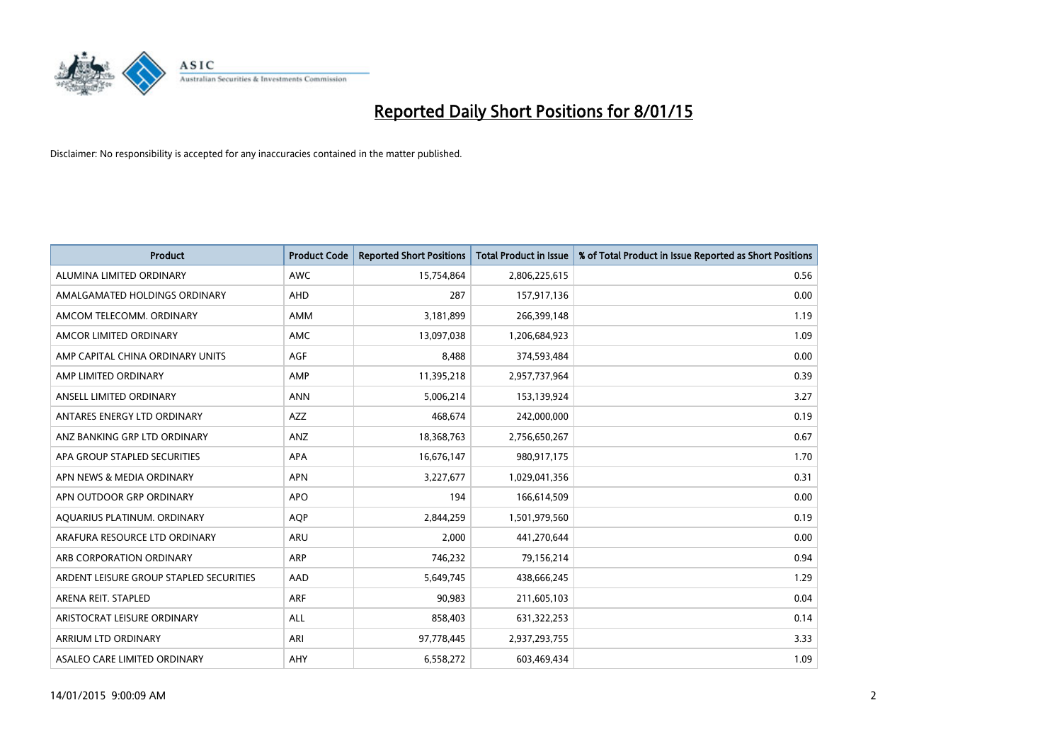

| <b>Product</b>                          | <b>Product Code</b> | <b>Reported Short Positions</b> | <b>Total Product in Issue</b> | % of Total Product in Issue Reported as Short Positions |
|-----------------------------------------|---------------------|---------------------------------|-------------------------------|---------------------------------------------------------|
| ALUMINA LIMITED ORDINARY                | <b>AWC</b>          | 15,754,864                      | 2,806,225,615                 | 0.56                                                    |
| AMALGAMATED HOLDINGS ORDINARY           | <b>AHD</b>          | 287                             | 157,917,136                   | 0.00                                                    |
| AMCOM TELECOMM. ORDINARY                | AMM                 | 3,181,899                       | 266,399,148                   | 1.19                                                    |
| AMCOR LIMITED ORDINARY                  | <b>AMC</b>          | 13,097,038                      | 1,206,684,923                 | 1.09                                                    |
| AMP CAPITAL CHINA ORDINARY UNITS        | AGF                 | 8,488                           | 374,593,484                   | 0.00                                                    |
| AMP LIMITED ORDINARY                    | AMP                 | 11,395,218                      | 2,957,737,964                 | 0.39                                                    |
| ANSELL LIMITED ORDINARY                 | <b>ANN</b>          | 5,006,214                       | 153,139,924                   | 3.27                                                    |
| ANTARES ENERGY LTD ORDINARY             | AZZ                 | 468,674                         | 242,000,000                   | 0.19                                                    |
| ANZ BANKING GRP LTD ORDINARY            | ANZ                 | 18,368,763                      | 2,756,650,267                 | 0.67                                                    |
| APA GROUP STAPLED SECURITIES            | <b>APA</b>          | 16,676,147                      | 980,917,175                   | 1.70                                                    |
| APN NEWS & MEDIA ORDINARY               | <b>APN</b>          | 3,227,677                       | 1,029,041,356                 | 0.31                                                    |
| APN OUTDOOR GRP ORDINARY                | <b>APO</b>          | 194                             | 166,614,509                   | 0.00                                                    |
| AQUARIUS PLATINUM. ORDINARY             | <b>AOP</b>          | 2,844,259                       | 1,501,979,560                 | 0.19                                                    |
| ARAFURA RESOURCE LTD ORDINARY           | <b>ARU</b>          | 2,000                           | 441,270,644                   | 0.00                                                    |
| ARB CORPORATION ORDINARY                | <b>ARP</b>          | 746,232                         | 79,156,214                    | 0.94                                                    |
| ARDENT LEISURE GROUP STAPLED SECURITIES | AAD                 | 5,649,745                       | 438,666,245                   | 1.29                                                    |
| ARENA REIT. STAPLED                     | <b>ARF</b>          | 90,983                          | 211,605,103                   | 0.04                                                    |
| ARISTOCRAT LEISURE ORDINARY             | ALL                 | 858,403                         | 631,322,253                   | 0.14                                                    |
| ARRIUM LTD ORDINARY                     | ARI                 | 97,778,445                      | 2,937,293,755                 | 3.33                                                    |
| ASALEO CARE LIMITED ORDINARY            | AHY                 | 6,558,272                       | 603,469,434                   | 1.09                                                    |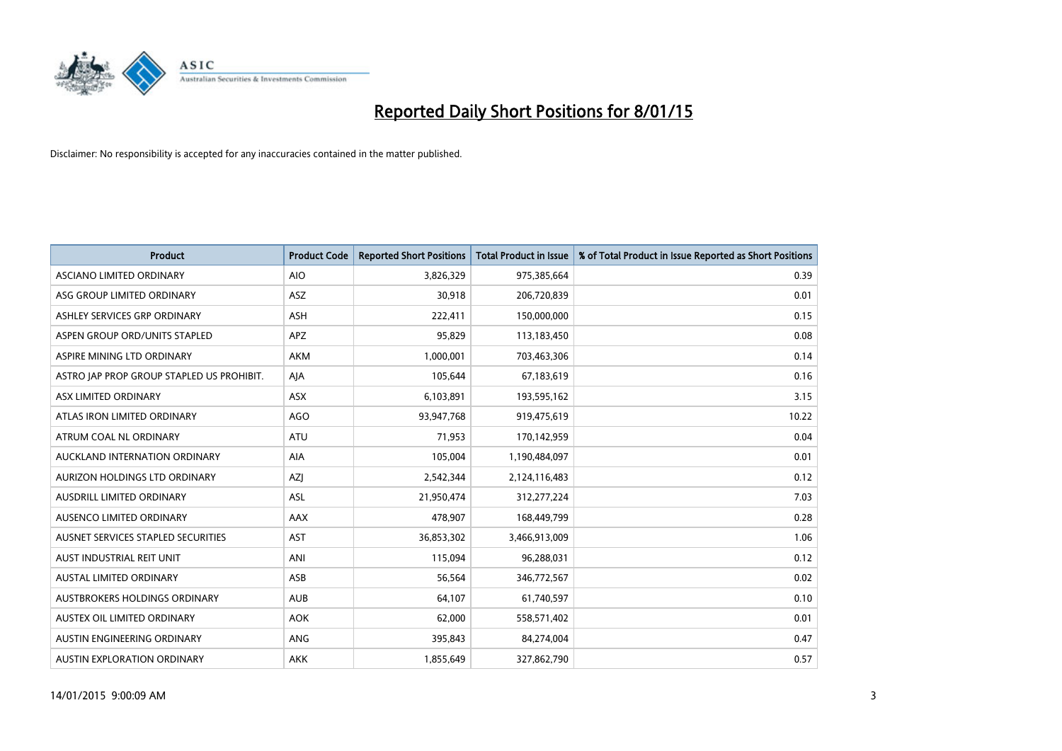

| <b>Product</b>                            | <b>Product Code</b> | <b>Reported Short Positions</b> | <b>Total Product in Issue</b> | % of Total Product in Issue Reported as Short Positions |
|-------------------------------------------|---------------------|---------------------------------|-------------------------------|---------------------------------------------------------|
| ASCIANO LIMITED ORDINARY                  | <b>AIO</b>          | 3,826,329                       | 975,385,664                   | 0.39                                                    |
| ASG GROUP LIMITED ORDINARY                | ASZ                 | 30,918                          | 206,720,839                   | 0.01                                                    |
| ASHLEY SERVICES GRP ORDINARY              | ASH                 | 222,411                         | 150,000,000                   | 0.15                                                    |
| ASPEN GROUP ORD/UNITS STAPLED             | <b>APZ</b>          | 95,829                          | 113,183,450                   | 0.08                                                    |
| ASPIRE MINING LTD ORDINARY                | <b>AKM</b>          | 1,000,001                       | 703,463,306                   | 0.14                                                    |
| ASTRO JAP PROP GROUP STAPLED US PROHIBIT. | AJA                 | 105,644                         | 67,183,619                    | 0.16                                                    |
| ASX LIMITED ORDINARY                      | ASX                 | 6,103,891                       | 193,595,162                   | 3.15                                                    |
| ATLAS IRON LIMITED ORDINARY               | <b>AGO</b>          | 93,947,768                      | 919,475,619                   | 10.22                                                   |
| ATRUM COAL NL ORDINARY                    | <b>ATU</b>          | 71,953                          | 170,142,959                   | 0.04                                                    |
| AUCKLAND INTERNATION ORDINARY             | <b>AIA</b>          | 105,004                         | 1,190,484,097                 | 0.01                                                    |
| AURIZON HOLDINGS LTD ORDINARY             | AZJ                 | 2,542,344                       | 2,124,116,483                 | 0.12                                                    |
| AUSDRILL LIMITED ORDINARY                 | ASL                 | 21,950,474                      | 312,277,224                   | 7.03                                                    |
| AUSENCO LIMITED ORDINARY                  | AAX                 | 478,907                         | 168,449,799                   | 0.28                                                    |
| AUSNET SERVICES STAPLED SECURITIES        | <b>AST</b>          | 36,853,302                      | 3,466,913,009                 | 1.06                                                    |
| AUST INDUSTRIAL REIT UNIT                 | ANI                 | 115,094                         | 96,288,031                    | 0.12                                                    |
| AUSTAL LIMITED ORDINARY                   | ASB                 | 56,564                          | 346,772,567                   | 0.02                                                    |
| AUSTBROKERS HOLDINGS ORDINARY             | <b>AUB</b>          | 64,107                          | 61,740,597                    | 0.10                                                    |
| AUSTEX OIL LIMITED ORDINARY               | <b>AOK</b>          | 62,000                          | 558,571,402                   | 0.01                                                    |
| AUSTIN ENGINEERING ORDINARY               | ANG                 | 395,843                         | 84,274,004                    | 0.47                                                    |
| AUSTIN EXPLORATION ORDINARY               | <b>AKK</b>          | 1,855,649                       | 327,862,790                   | 0.57                                                    |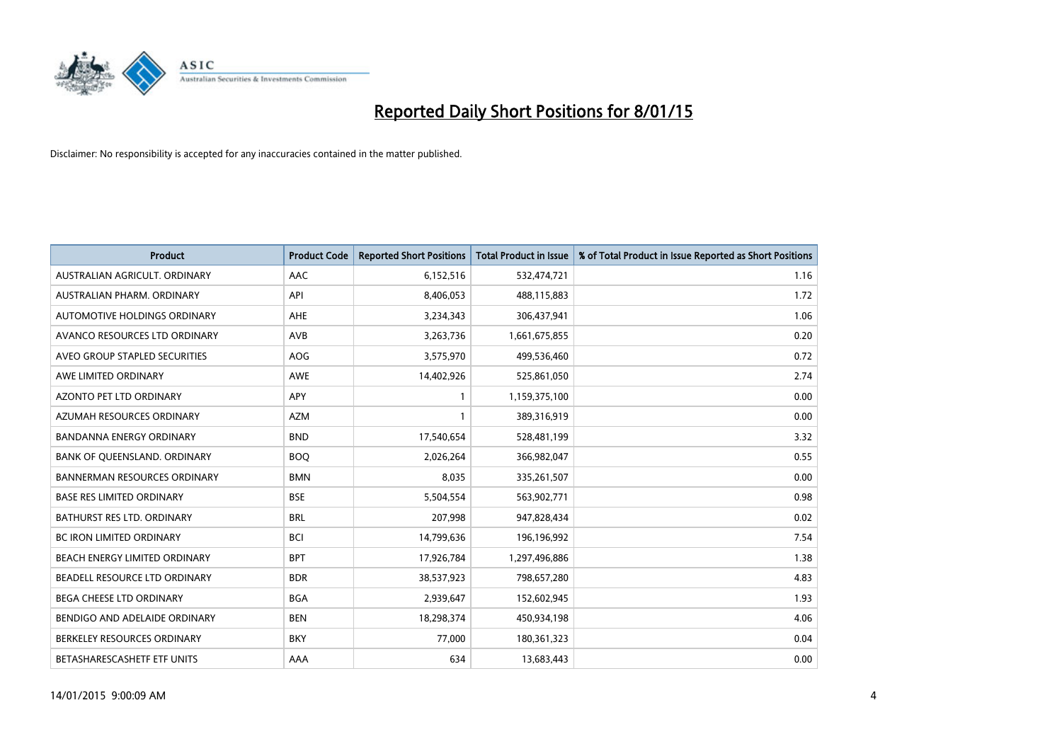

| <b>Product</b>                      | <b>Product Code</b> | <b>Reported Short Positions</b> | <b>Total Product in Issue</b> | % of Total Product in Issue Reported as Short Positions |
|-------------------------------------|---------------------|---------------------------------|-------------------------------|---------------------------------------------------------|
| AUSTRALIAN AGRICULT, ORDINARY       | AAC                 | 6,152,516                       | 532,474,721                   | 1.16                                                    |
| AUSTRALIAN PHARM. ORDINARY          | API                 | 8,406,053                       | 488,115,883                   | 1.72                                                    |
| AUTOMOTIVE HOLDINGS ORDINARY        | AHE                 | 3,234,343                       | 306,437,941                   | 1.06                                                    |
| AVANCO RESOURCES LTD ORDINARY       | AVB                 | 3,263,736                       | 1,661,675,855                 | 0.20                                                    |
| AVEO GROUP STAPLED SECURITIES       | AOG                 | 3,575,970                       | 499,536,460                   | 0.72                                                    |
| AWE LIMITED ORDINARY                | AWE                 | 14,402,926                      | 525,861,050                   | 2.74                                                    |
| <b>AZONTO PET LTD ORDINARY</b>      | APY                 | 1                               | 1,159,375,100                 | 0.00                                                    |
| AZUMAH RESOURCES ORDINARY           | <b>AZM</b>          | $\mathbf{1}$                    | 389,316,919                   | 0.00                                                    |
| <b>BANDANNA ENERGY ORDINARY</b>     | <b>BND</b>          | 17,540,654                      | 528,481,199                   | 3.32                                                    |
| BANK OF QUEENSLAND. ORDINARY        | <b>BOQ</b>          | 2,026,264                       | 366,982,047                   | 0.55                                                    |
| <b>BANNERMAN RESOURCES ORDINARY</b> | <b>BMN</b>          | 8,035                           | 335,261,507                   | 0.00                                                    |
| <b>BASE RES LIMITED ORDINARY</b>    | <b>BSE</b>          | 5,504,554                       | 563,902,771                   | 0.98                                                    |
| BATHURST RES LTD. ORDINARY          | <b>BRL</b>          | 207,998                         | 947,828,434                   | 0.02                                                    |
| <b>BC IRON LIMITED ORDINARY</b>     | <b>BCI</b>          | 14,799,636                      | 196,196,992                   | 7.54                                                    |
| BEACH ENERGY LIMITED ORDINARY       | <b>BPT</b>          | 17,926,784                      | 1,297,496,886                 | 1.38                                                    |
| BEADELL RESOURCE LTD ORDINARY       | <b>BDR</b>          | 38,537,923                      | 798,657,280                   | 4.83                                                    |
| <b>BEGA CHEESE LTD ORDINARY</b>     | <b>BGA</b>          | 2,939,647                       | 152,602,945                   | 1.93                                                    |
| BENDIGO AND ADELAIDE ORDINARY       | <b>BEN</b>          | 18,298,374                      | 450,934,198                   | 4.06                                                    |
| BERKELEY RESOURCES ORDINARY         | <b>BKY</b>          | 77,000                          | 180,361,323                   | 0.04                                                    |
| BETASHARESCASHETF ETF UNITS         | AAA                 | 634                             | 13,683,443                    | 0.00                                                    |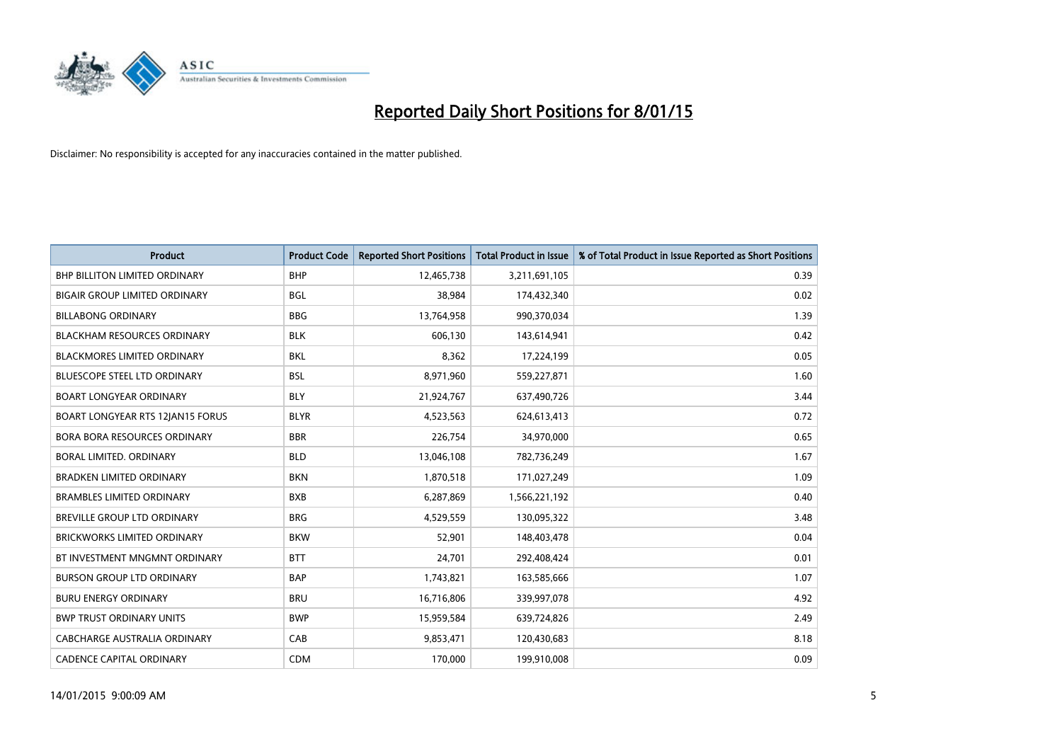

| <b>Product</b>                       | <b>Product Code</b> | <b>Reported Short Positions</b> | <b>Total Product in Issue</b> | % of Total Product in Issue Reported as Short Positions |
|--------------------------------------|---------------------|---------------------------------|-------------------------------|---------------------------------------------------------|
| <b>BHP BILLITON LIMITED ORDINARY</b> | <b>BHP</b>          | 12,465,738                      | 3,211,691,105                 | 0.39                                                    |
| <b>BIGAIR GROUP LIMITED ORDINARY</b> | <b>BGL</b>          | 38,984                          | 174,432,340                   | 0.02                                                    |
| <b>BILLABONG ORDINARY</b>            | <b>BBG</b>          | 13,764,958                      | 990,370,034                   | 1.39                                                    |
| <b>BLACKHAM RESOURCES ORDINARY</b>   | <b>BLK</b>          | 606,130                         | 143,614,941                   | 0.42                                                    |
| <b>BLACKMORES LIMITED ORDINARY</b>   | <b>BKL</b>          | 8,362                           | 17,224,199                    | 0.05                                                    |
| <b>BLUESCOPE STEEL LTD ORDINARY</b>  | <b>BSL</b>          | 8,971,960                       | 559,227,871                   | 1.60                                                    |
| <b>BOART LONGYEAR ORDINARY</b>       | <b>BLY</b>          | 21,924,767                      | 637,490,726                   | 3.44                                                    |
| BOART LONGYEAR RTS 12JAN15 FORUS     | <b>BLYR</b>         | 4,523,563                       | 624,613,413                   | 0.72                                                    |
| <b>BORA BORA RESOURCES ORDINARY</b>  | <b>BBR</b>          | 226,754                         | 34,970,000                    | 0.65                                                    |
| BORAL LIMITED. ORDINARY              | <b>BLD</b>          | 13,046,108                      | 782,736,249                   | 1.67                                                    |
| <b>BRADKEN LIMITED ORDINARY</b>      | <b>BKN</b>          | 1,870,518                       | 171,027,249                   | 1.09                                                    |
| <b>BRAMBLES LIMITED ORDINARY</b>     | <b>BXB</b>          | 6,287,869                       | 1,566,221,192                 | 0.40                                                    |
| BREVILLE GROUP LTD ORDINARY          | <b>BRG</b>          | 4,529,559                       | 130,095,322                   | 3.48                                                    |
| <b>BRICKWORKS LIMITED ORDINARY</b>   | <b>BKW</b>          | 52,901                          | 148,403,478                   | 0.04                                                    |
| BT INVESTMENT MNGMNT ORDINARY        | <b>BTT</b>          | 24,701                          | 292,408,424                   | 0.01                                                    |
| <b>BURSON GROUP LTD ORDINARY</b>     | <b>BAP</b>          | 1,743,821                       | 163,585,666                   | 1.07                                                    |
| <b>BURU ENERGY ORDINARY</b>          | <b>BRU</b>          | 16,716,806                      | 339,997,078                   | 4.92                                                    |
| <b>BWP TRUST ORDINARY UNITS</b>      | <b>BWP</b>          | 15,959,584                      | 639,724,826                   | 2.49                                                    |
| CABCHARGE AUSTRALIA ORDINARY         | CAB                 | 9,853,471                       | 120,430,683                   | 8.18                                                    |
| <b>CADENCE CAPITAL ORDINARY</b>      | <b>CDM</b>          | 170,000                         | 199,910,008                   | 0.09                                                    |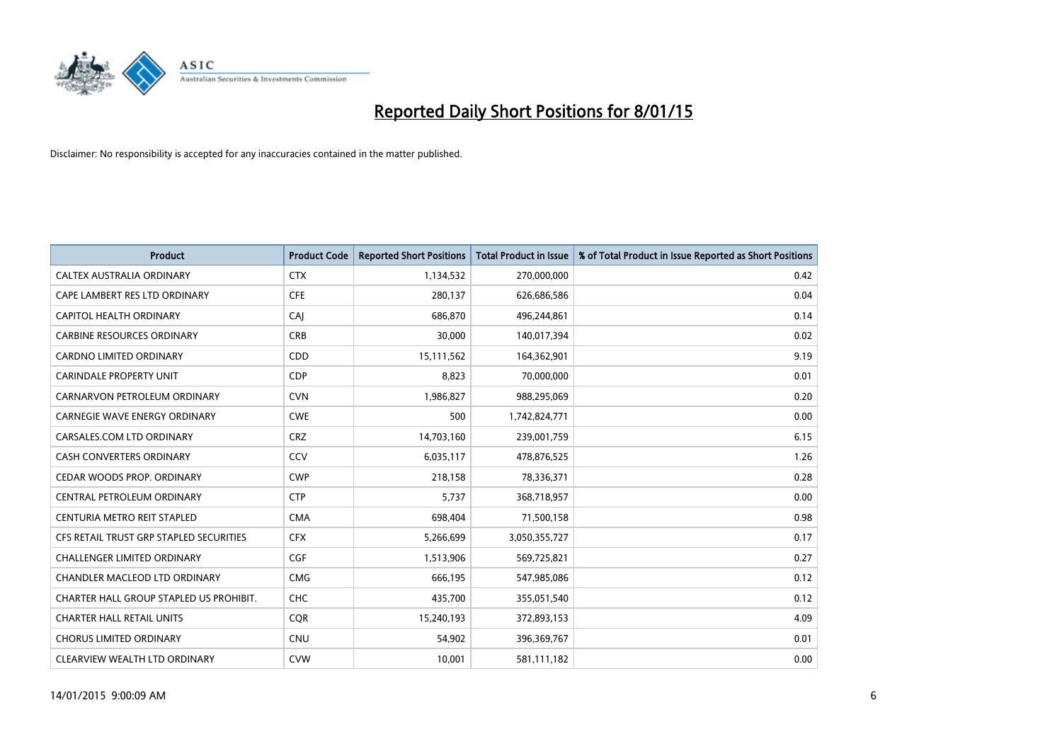

| <b>Product</b>                          | <b>Product Code</b> | <b>Reported Short Positions</b> | <b>Total Product in Issue</b> | % of Total Product in Issue Reported as Short Positions |
|-----------------------------------------|---------------------|---------------------------------|-------------------------------|---------------------------------------------------------|
| CALTEX AUSTRALIA ORDINARY               | <b>CTX</b>          | 1,134,532                       | 270,000,000                   | 0.42                                                    |
| CAPE LAMBERT RES LTD ORDINARY           | <b>CFE</b>          | 280,137                         | 626,686,586                   | 0.04                                                    |
| CAPITOL HEALTH ORDINARY                 | CAJ                 | 686.870                         | 496,244,861                   | 0.14                                                    |
| <b>CARBINE RESOURCES ORDINARY</b>       | <b>CRB</b>          | 30,000                          | 140,017,394                   | 0.02                                                    |
| <b>CARDNO LIMITED ORDINARY</b>          | CDD                 | 15,111,562                      | 164,362,901                   | 9.19                                                    |
| <b>CARINDALE PROPERTY UNIT</b>          | <b>CDP</b>          | 8,823                           | 70,000,000                    | 0.01                                                    |
| CARNARVON PETROLEUM ORDINARY            | <b>CVN</b>          | 1,986,827                       | 988,295,069                   | 0.20                                                    |
| <b>CARNEGIE WAVE ENERGY ORDINARY</b>    | <b>CWE</b>          | 500                             | 1,742,824,771                 | 0.00                                                    |
| CARSALES.COM LTD ORDINARY               | <b>CRZ</b>          | 14,703,160                      | 239,001,759                   | 6.15                                                    |
| <b>CASH CONVERTERS ORDINARY</b>         | CCV                 | 6,035,117                       | 478,876,525                   | 1.26                                                    |
| CEDAR WOODS PROP. ORDINARY              | <b>CWP</b>          | 218,158                         | 78,336,371                    | 0.28                                                    |
| CENTRAL PETROLEUM ORDINARY              | <b>CTP</b>          | 5,737                           | 368,718,957                   | 0.00                                                    |
| CENTURIA METRO REIT STAPLED             | <b>CMA</b>          | 698,404                         | 71,500,158                    | 0.98                                                    |
| CFS RETAIL TRUST GRP STAPLED SECURITIES | <b>CFX</b>          | 5,266,699                       | 3,050,355,727                 | 0.17                                                    |
| <b>CHALLENGER LIMITED ORDINARY</b>      | <b>CGF</b>          | 1,513,906                       | 569,725,821                   | 0.27                                                    |
| CHANDLER MACLEOD LTD ORDINARY           | <b>CMG</b>          | 666,195                         | 547,985,086                   | 0.12                                                    |
| CHARTER HALL GROUP STAPLED US PROHIBIT. | <b>CHC</b>          | 435,700                         | 355,051,540                   | 0.12                                                    |
| <b>CHARTER HALL RETAIL UNITS</b>        | <b>CQR</b>          | 15,240,193                      | 372,893,153                   | 4.09                                                    |
| <b>CHORUS LIMITED ORDINARY</b>          | <b>CNU</b>          | 54,902                          | 396,369,767                   | 0.01                                                    |
| CLEARVIEW WEALTH LTD ORDINARY           | <b>CVW</b>          | 10,001                          | 581,111,182                   | 0.00                                                    |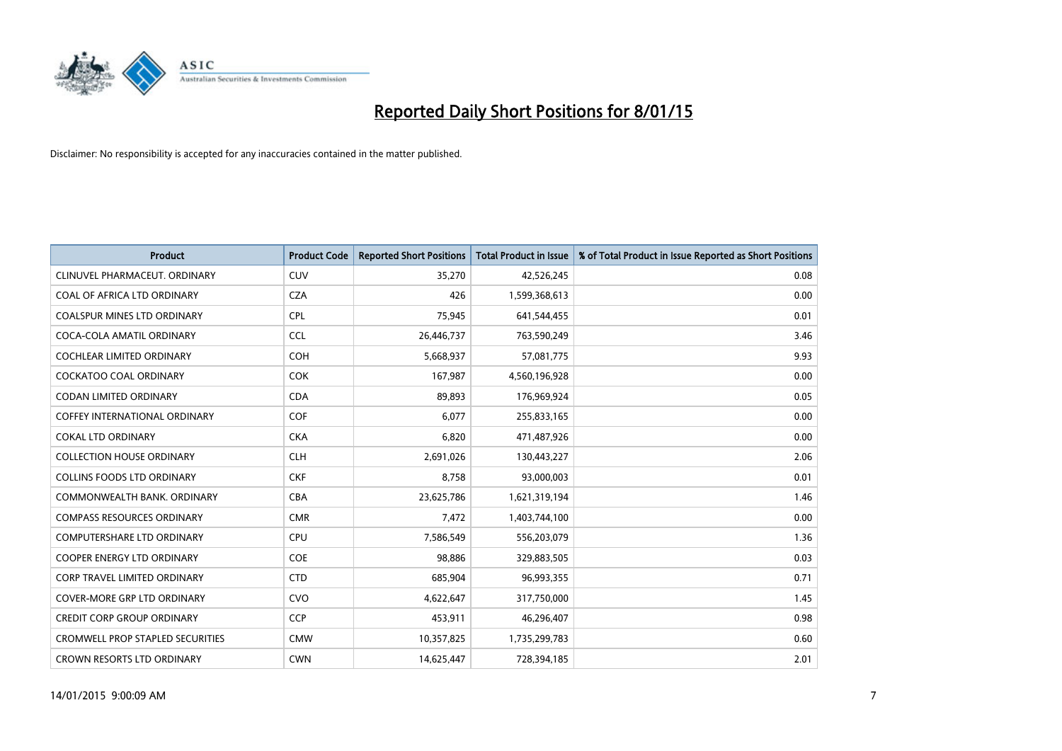

| <b>Product</b>                          | <b>Product Code</b> | <b>Reported Short Positions</b> | <b>Total Product in Issue</b> | % of Total Product in Issue Reported as Short Positions |
|-----------------------------------------|---------------------|---------------------------------|-------------------------------|---------------------------------------------------------|
| CLINUVEL PHARMACEUT, ORDINARY           | <b>CUV</b>          | 35,270                          | 42,526,245                    | 0.08                                                    |
| COAL OF AFRICA LTD ORDINARY             | <b>CZA</b>          | 426                             | 1,599,368,613                 | 0.00                                                    |
| <b>COALSPUR MINES LTD ORDINARY</b>      | <b>CPL</b>          | 75,945                          | 641,544,455                   | 0.01                                                    |
| COCA-COLA AMATIL ORDINARY               | <b>CCL</b>          | 26,446,737                      | 763,590,249                   | 3.46                                                    |
| <b>COCHLEAR LIMITED ORDINARY</b>        | <b>COH</b>          | 5,668,937                       | 57,081,775                    | 9.93                                                    |
| <b>COCKATOO COAL ORDINARY</b>           | COK                 | 167,987                         | 4,560,196,928                 | 0.00                                                    |
| <b>CODAN LIMITED ORDINARY</b>           | <b>CDA</b>          | 89,893                          | 176,969,924                   | 0.05                                                    |
| <b>COFFEY INTERNATIONAL ORDINARY</b>    | <b>COF</b>          | 6,077                           | 255,833,165                   | 0.00                                                    |
| <b>COKAL LTD ORDINARY</b>               | <b>CKA</b>          | 6,820                           | 471,487,926                   | 0.00                                                    |
| <b>COLLECTION HOUSE ORDINARY</b>        | <b>CLH</b>          | 2,691,026                       | 130,443,227                   | 2.06                                                    |
| <b>COLLINS FOODS LTD ORDINARY</b>       | <b>CKF</b>          | 8,758                           | 93,000,003                    | 0.01                                                    |
| COMMONWEALTH BANK, ORDINARY             | <b>CBA</b>          | 23,625,786                      | 1,621,319,194                 | 1.46                                                    |
| <b>COMPASS RESOURCES ORDINARY</b>       | <b>CMR</b>          | 7,472                           | 1,403,744,100                 | 0.00                                                    |
| <b>COMPUTERSHARE LTD ORDINARY</b>       | <b>CPU</b>          | 7,586,549                       | 556,203,079                   | 1.36                                                    |
| <b>COOPER ENERGY LTD ORDINARY</b>       | <b>COE</b>          | 98,886                          | 329,883,505                   | 0.03                                                    |
| CORP TRAVEL LIMITED ORDINARY            | <b>CTD</b>          | 685,904                         | 96,993,355                    | 0.71                                                    |
| COVER-MORE GRP LTD ORDINARY             | <b>CVO</b>          | 4,622,647                       | 317,750,000                   | 1.45                                                    |
| <b>CREDIT CORP GROUP ORDINARY</b>       | <b>CCP</b>          | 453,911                         | 46,296,407                    | 0.98                                                    |
| <b>CROMWELL PROP STAPLED SECURITIES</b> | <b>CMW</b>          | 10,357,825                      | 1,735,299,783                 | 0.60                                                    |
| CROWN RESORTS LTD ORDINARY              | <b>CWN</b>          | 14,625,447                      | 728,394,185                   | 2.01                                                    |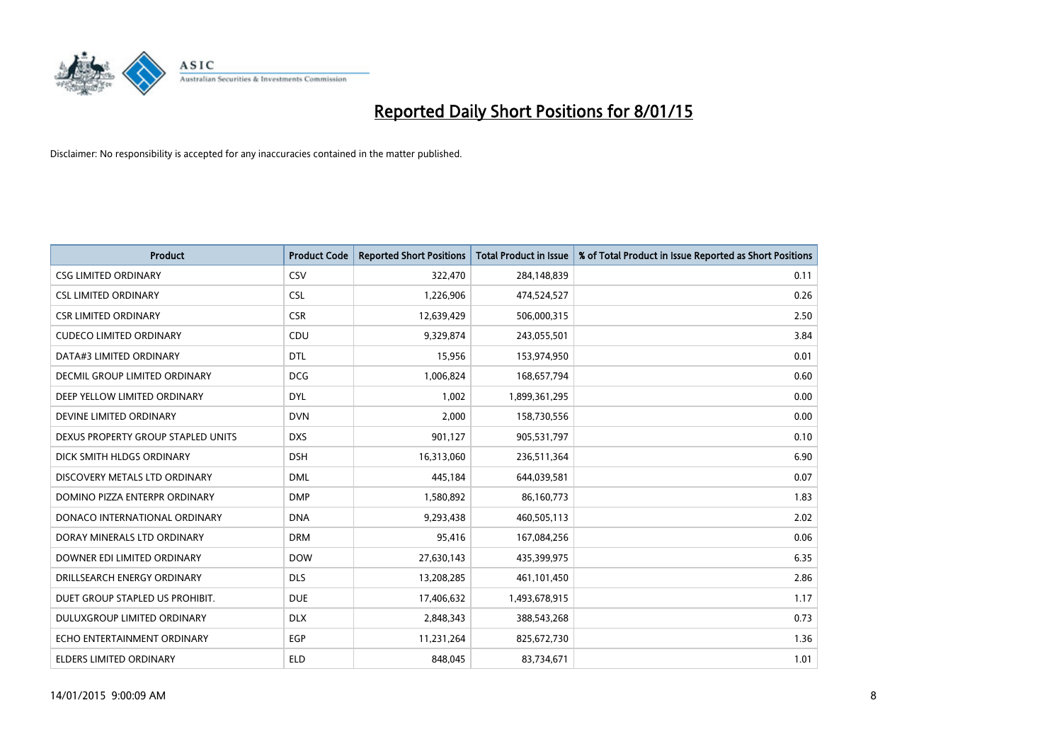

| <b>Product</b>                     | <b>Product Code</b> | <b>Reported Short Positions</b> | <b>Total Product in Issue</b> | % of Total Product in Issue Reported as Short Positions |
|------------------------------------|---------------------|---------------------------------|-------------------------------|---------------------------------------------------------|
| <b>CSG LIMITED ORDINARY</b>        | CSV                 | 322,470                         | 284,148,839                   | 0.11                                                    |
| <b>CSL LIMITED ORDINARY</b>        | <b>CSL</b>          | 1,226,906                       | 474,524,527                   | 0.26                                                    |
| <b>CSR LIMITED ORDINARY</b>        | <b>CSR</b>          | 12,639,429                      | 506,000,315                   | 2.50                                                    |
| <b>CUDECO LIMITED ORDINARY</b>     | CDU                 | 9,329,874                       | 243,055,501                   | 3.84                                                    |
| DATA#3 LIMITED ORDINARY            | DTL                 | 15,956                          | 153,974,950                   | 0.01                                                    |
| DECMIL GROUP LIMITED ORDINARY      | <b>DCG</b>          | 1,006,824                       | 168,657,794                   | 0.60                                                    |
| DEEP YELLOW LIMITED ORDINARY       | <b>DYL</b>          | 1,002                           | 1,899,361,295                 | 0.00                                                    |
| DEVINE LIMITED ORDINARY            | <b>DVN</b>          | 2,000                           | 158,730,556                   | 0.00                                                    |
| DEXUS PROPERTY GROUP STAPLED UNITS | <b>DXS</b>          | 901,127                         | 905,531,797                   | 0.10                                                    |
| DICK SMITH HLDGS ORDINARY          | <b>DSH</b>          | 16,313,060                      | 236,511,364                   | 6.90                                                    |
| DISCOVERY METALS LTD ORDINARY      | <b>DML</b>          | 445,184                         | 644,039,581                   | 0.07                                                    |
| DOMINO PIZZA ENTERPR ORDINARY      | <b>DMP</b>          | 1,580,892                       | 86,160,773                    | 1.83                                                    |
| DONACO INTERNATIONAL ORDINARY      | <b>DNA</b>          | 9,293,438                       | 460,505,113                   | 2.02                                                    |
| DORAY MINERALS LTD ORDINARY        | <b>DRM</b>          | 95,416                          | 167,084,256                   | 0.06                                                    |
| DOWNER EDI LIMITED ORDINARY        | <b>DOW</b>          | 27,630,143                      | 435,399,975                   | 6.35                                                    |
| DRILLSEARCH ENERGY ORDINARY        | <b>DLS</b>          | 13,208,285                      | 461,101,450                   | 2.86                                                    |
| DUET GROUP STAPLED US PROHIBIT.    | <b>DUE</b>          | 17,406,632                      | 1,493,678,915                 | 1.17                                                    |
| DULUXGROUP LIMITED ORDINARY        | <b>DLX</b>          | 2,848,343                       | 388,543,268                   | 0.73                                                    |
| ECHO ENTERTAINMENT ORDINARY        | <b>EGP</b>          | 11,231,264                      | 825,672,730                   | 1.36                                                    |
| ELDERS LIMITED ORDINARY            | <b>ELD</b>          | 848,045                         | 83,734,671                    | 1.01                                                    |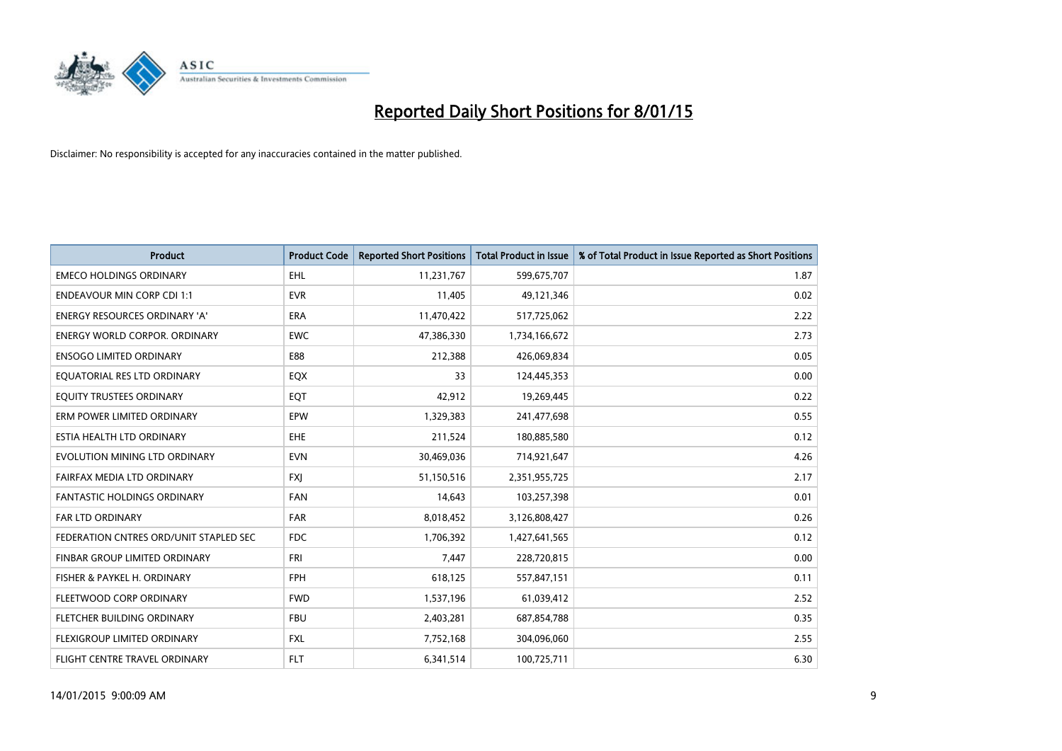

| <b>Product</b>                         | <b>Product Code</b> | <b>Reported Short Positions</b> | <b>Total Product in Issue</b> | % of Total Product in Issue Reported as Short Positions |
|----------------------------------------|---------------------|---------------------------------|-------------------------------|---------------------------------------------------------|
| <b>EMECO HOLDINGS ORDINARY</b>         | <b>EHL</b>          | 11,231,767                      | 599,675,707                   | 1.87                                                    |
| <b>ENDEAVOUR MIN CORP CDI 1:1</b>      | <b>EVR</b>          | 11,405                          | 49,121,346                    | 0.02                                                    |
| ENERGY RESOURCES ORDINARY 'A'          | ERA                 | 11,470,422                      | 517,725,062                   | 2.22                                                    |
| <b>ENERGY WORLD CORPOR, ORDINARY</b>   | <b>EWC</b>          | 47,386,330                      | 1,734,166,672                 | 2.73                                                    |
| <b>ENSOGO LIMITED ORDINARY</b>         | E88                 | 212,388                         | 426,069,834                   | 0.05                                                    |
| EQUATORIAL RES LTD ORDINARY            | EQX                 | 33                              | 124,445,353                   | 0.00                                                    |
| EQUITY TRUSTEES ORDINARY               | EQT                 | 42,912                          | 19,269,445                    | 0.22                                                    |
| ERM POWER LIMITED ORDINARY             | EPW                 | 1,329,383                       | 241,477,698                   | 0.55                                                    |
| ESTIA HEALTH LTD ORDINARY              | EHE                 | 211,524                         | 180,885,580                   | 0.12                                                    |
| EVOLUTION MINING LTD ORDINARY          | <b>EVN</b>          | 30,469,036                      | 714,921,647                   | 4.26                                                    |
| FAIRFAX MEDIA LTD ORDINARY             | <b>FXJ</b>          | 51,150,516                      | 2,351,955,725                 | 2.17                                                    |
| FANTASTIC HOLDINGS ORDINARY            | FAN                 | 14,643                          | 103,257,398                   | 0.01                                                    |
| FAR LTD ORDINARY                       | <b>FAR</b>          | 8,018,452                       | 3,126,808,427                 | 0.26                                                    |
| FEDERATION CNTRES ORD/UNIT STAPLED SEC | <b>FDC</b>          | 1,706,392                       | 1,427,641,565                 | 0.12                                                    |
| FINBAR GROUP LIMITED ORDINARY          | <b>FRI</b>          | 7,447                           | 228,720,815                   | 0.00                                                    |
| FISHER & PAYKEL H. ORDINARY            | <b>FPH</b>          | 618,125                         | 557,847,151                   | 0.11                                                    |
| FLEETWOOD CORP ORDINARY                | <b>FWD</b>          | 1,537,196                       | 61,039,412                    | 2.52                                                    |
| FLETCHER BUILDING ORDINARY             | <b>FBU</b>          | 2,403,281                       | 687,854,788                   | 0.35                                                    |
| FLEXIGROUP LIMITED ORDINARY            | <b>FXL</b>          | 7,752,168                       | 304,096,060                   | 2.55                                                    |
| FLIGHT CENTRE TRAVEL ORDINARY          | FLT                 | 6,341,514                       | 100,725,711                   | 6.30                                                    |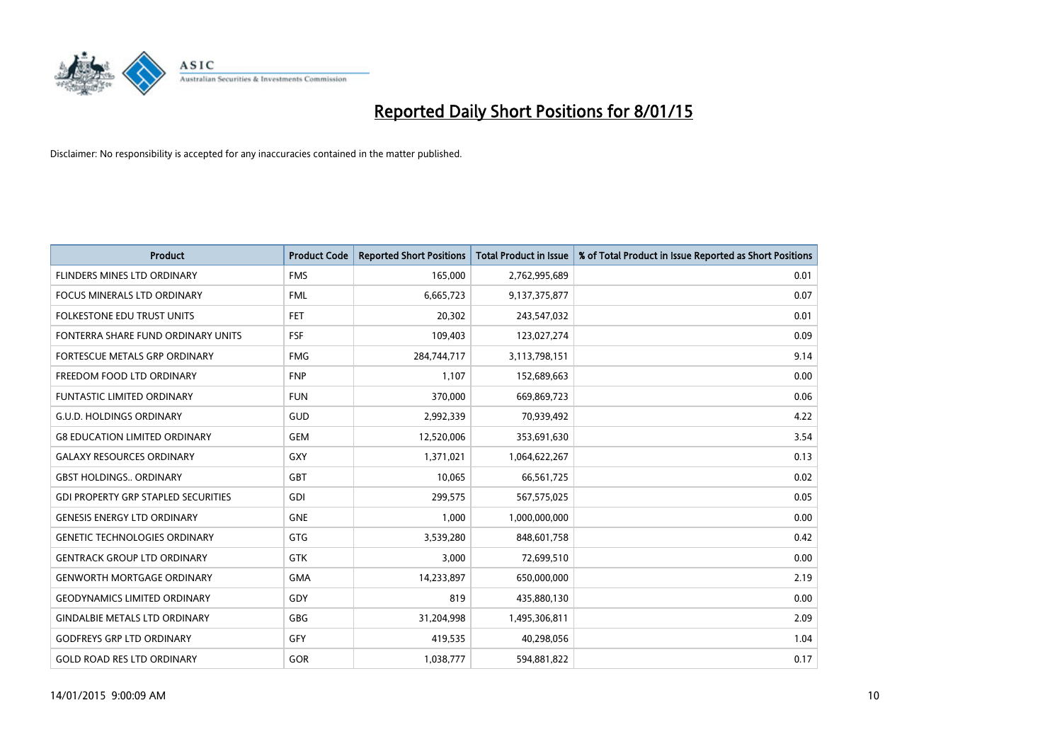

| <b>Product</b>                             | <b>Product Code</b> | <b>Reported Short Positions</b> | <b>Total Product in Issue</b> | % of Total Product in Issue Reported as Short Positions |
|--------------------------------------------|---------------------|---------------------------------|-------------------------------|---------------------------------------------------------|
| <b>FLINDERS MINES LTD ORDINARY</b>         | <b>FMS</b>          | 165,000                         | 2,762,995,689                 | 0.01                                                    |
| FOCUS MINERALS LTD ORDINARY                | <b>FML</b>          | 6,665,723                       | 9,137,375,877                 | 0.07                                                    |
| FOLKESTONE EDU TRUST UNITS                 | <b>FET</b>          | 20,302                          | 243,547,032                   | 0.01                                                    |
| FONTERRA SHARE FUND ORDINARY UNITS         | <b>FSF</b>          | 109,403                         | 123,027,274                   | 0.09                                                    |
| FORTESCUE METALS GRP ORDINARY              | <b>FMG</b>          | 284,744,717                     | 3,113,798,151                 | 9.14                                                    |
| FREEDOM FOOD LTD ORDINARY                  | <b>FNP</b>          | 1,107                           | 152,689,663                   | 0.00                                                    |
| <b>FUNTASTIC LIMITED ORDINARY</b>          | <b>FUN</b>          | 370,000                         | 669,869,723                   | 0.06                                                    |
| <b>G.U.D. HOLDINGS ORDINARY</b>            | GUD                 | 2,992,339                       | 70,939,492                    | 4.22                                                    |
| <b>G8 EDUCATION LIMITED ORDINARY</b>       | <b>GEM</b>          | 12,520,006                      | 353,691,630                   | 3.54                                                    |
| <b>GALAXY RESOURCES ORDINARY</b>           | GXY                 | 1,371,021                       | 1,064,622,267                 | 0.13                                                    |
| <b>GBST HOLDINGS ORDINARY</b>              | GBT                 | 10,065                          | 66,561,725                    | 0.02                                                    |
| <b>GDI PROPERTY GRP STAPLED SECURITIES</b> | GDI                 | 299,575                         | 567,575,025                   | 0.05                                                    |
| <b>GENESIS ENERGY LTD ORDINARY</b>         | <b>GNE</b>          | 1,000                           | 1,000,000,000                 | 0.00                                                    |
| <b>GENETIC TECHNOLOGIES ORDINARY</b>       | GTG                 | 3,539,280                       | 848,601,758                   | 0.42                                                    |
| <b>GENTRACK GROUP LTD ORDINARY</b>         | <b>GTK</b>          | 3,000                           | 72,699,510                    | 0.00                                                    |
| <b>GENWORTH MORTGAGE ORDINARY</b>          | <b>GMA</b>          | 14,233,897                      | 650,000,000                   | 2.19                                                    |
| <b>GEODYNAMICS LIMITED ORDINARY</b>        | GDY                 | 819                             | 435,880,130                   | 0.00                                                    |
| <b>GINDALBIE METALS LTD ORDINARY</b>       | GBG                 | 31,204,998                      | 1,495,306,811                 | 2.09                                                    |
| <b>GODFREYS GRP LTD ORDINARY</b>           | GFY                 | 419,535                         | 40,298,056                    | 1.04                                                    |
| <b>GOLD ROAD RES LTD ORDINARY</b>          | GOR                 | 1,038,777                       | 594,881,822                   | 0.17                                                    |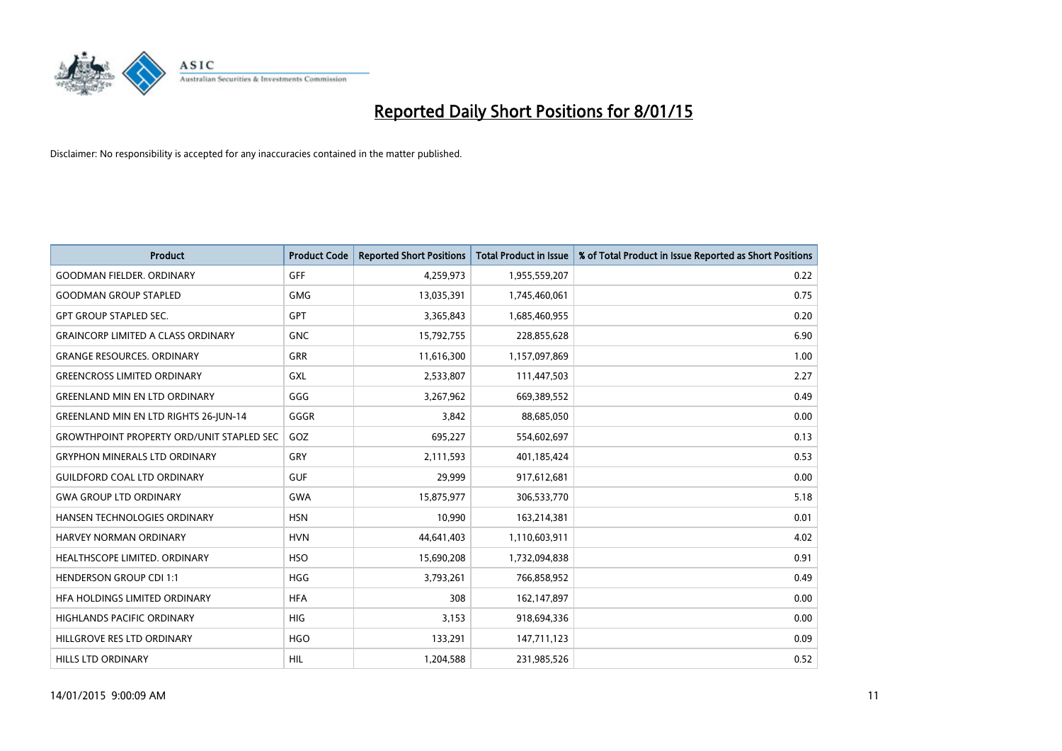

| <b>Product</b>                                   | <b>Product Code</b> | <b>Reported Short Positions</b> | <b>Total Product in Issue</b> | % of Total Product in Issue Reported as Short Positions |
|--------------------------------------------------|---------------------|---------------------------------|-------------------------------|---------------------------------------------------------|
| <b>GOODMAN FIELDER, ORDINARY</b>                 | <b>GFF</b>          | 4,259,973                       | 1,955,559,207                 | 0.22                                                    |
| <b>GOODMAN GROUP STAPLED</b>                     | <b>GMG</b>          | 13,035,391                      | 1,745,460,061                 | 0.75                                                    |
| <b>GPT GROUP STAPLED SEC.</b>                    | <b>GPT</b>          | 3,365,843                       | 1,685,460,955                 | 0.20                                                    |
| <b>GRAINCORP LIMITED A CLASS ORDINARY</b>        | <b>GNC</b>          | 15,792,755                      | 228,855,628                   | 6.90                                                    |
| <b>GRANGE RESOURCES, ORDINARY</b>                | <b>GRR</b>          | 11,616,300                      | 1,157,097,869                 | 1.00                                                    |
| <b>GREENCROSS LIMITED ORDINARY</b>               | <b>GXL</b>          | 2,533,807                       | 111,447,503                   | 2.27                                                    |
| <b>GREENLAND MIN EN LTD ORDINARY</b>             | GGG                 | 3,267,962                       | 669,389,552                   | 0.49                                                    |
| <b>GREENLAND MIN EN LTD RIGHTS 26-JUN-14</b>     | GGGR                | 3,842                           | 88,685,050                    | 0.00                                                    |
| <b>GROWTHPOINT PROPERTY ORD/UNIT STAPLED SEC</b> | GOZ                 | 695,227                         | 554,602,697                   | 0.13                                                    |
| <b>GRYPHON MINERALS LTD ORDINARY</b>             | GRY                 | 2,111,593                       | 401,185,424                   | 0.53                                                    |
| <b>GUILDFORD COAL LTD ORDINARY</b>               | <b>GUF</b>          | 29,999                          | 917,612,681                   | 0.00                                                    |
| <b>GWA GROUP LTD ORDINARY</b>                    | <b>GWA</b>          | 15,875,977                      | 306,533,770                   | 5.18                                                    |
| HANSEN TECHNOLOGIES ORDINARY                     | <b>HSN</b>          | 10,990                          | 163,214,381                   | 0.01                                                    |
| <b>HARVEY NORMAN ORDINARY</b>                    | <b>HVN</b>          | 44,641,403                      | 1,110,603,911                 | 4.02                                                    |
| HEALTHSCOPE LIMITED. ORDINARY                    | <b>HSO</b>          | 15,690,208                      | 1,732,094,838                 | 0.91                                                    |
| <b>HENDERSON GROUP CDI 1:1</b>                   | <b>HGG</b>          | 3,793,261                       | 766,858,952                   | 0.49                                                    |
| HFA HOLDINGS LIMITED ORDINARY                    | <b>HFA</b>          | 308                             | 162,147,897                   | 0.00                                                    |
| HIGHLANDS PACIFIC ORDINARY                       | <b>HIG</b>          | 3,153                           | 918,694,336                   | 0.00                                                    |
| HILLGROVE RES LTD ORDINARY                       | <b>HGO</b>          | 133,291                         | 147,711,123                   | 0.09                                                    |
| <b>HILLS LTD ORDINARY</b>                        | <b>HIL</b>          | 1,204,588                       | 231,985,526                   | 0.52                                                    |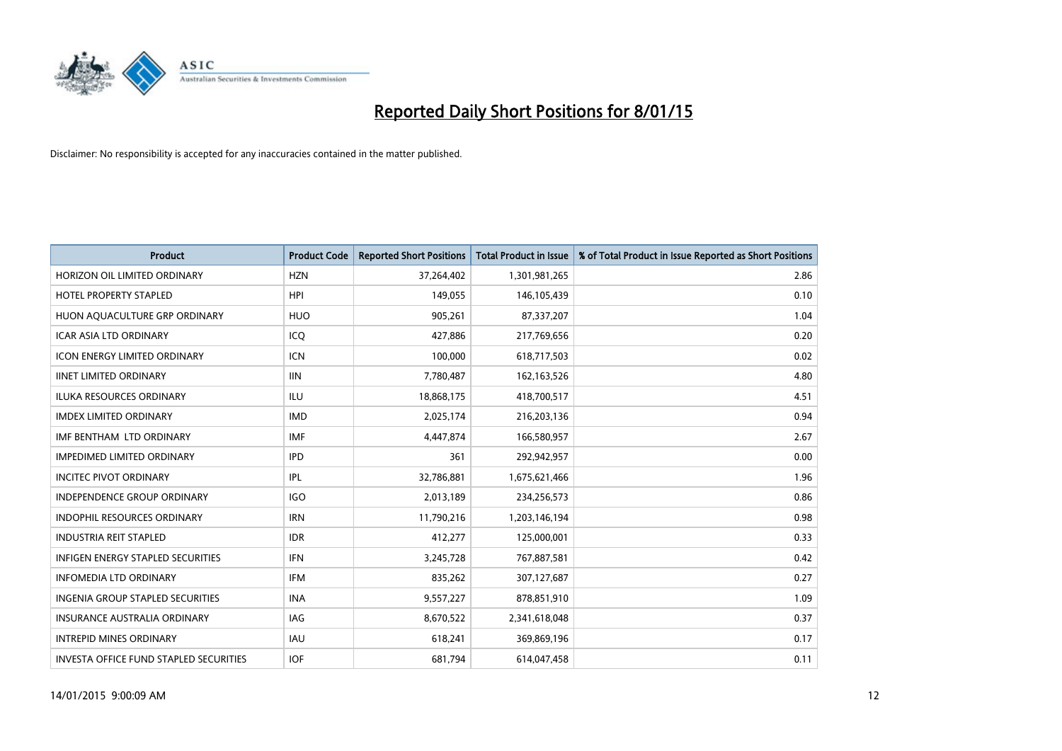

| <b>Product</b>                           | <b>Product Code</b> | <b>Reported Short Positions</b> | Total Product in Issue | % of Total Product in Issue Reported as Short Positions |
|------------------------------------------|---------------------|---------------------------------|------------------------|---------------------------------------------------------|
| HORIZON OIL LIMITED ORDINARY             | <b>HZN</b>          | 37,264,402                      | 1,301,981,265          | 2.86                                                    |
| HOTEL PROPERTY STAPLED                   | <b>HPI</b>          | 149,055                         | 146,105,439            | 0.10                                                    |
| HUON AQUACULTURE GRP ORDINARY            | <b>HUO</b>          | 905,261                         | 87,337,207             | 1.04                                                    |
| <b>ICAR ASIA LTD ORDINARY</b>            | ICQ                 | 427,886                         | 217,769,656            | 0.20                                                    |
| <b>ICON ENERGY LIMITED ORDINARY</b>      | <b>ICN</b>          | 100,000                         | 618,717,503            | 0.02                                                    |
| <b>IINET LIMITED ORDINARY</b>            | <b>IIN</b>          | 7,780,487                       | 162,163,526            | 4.80                                                    |
| <b>ILUKA RESOURCES ORDINARY</b>          | ILU                 | 18,868,175                      | 418,700,517            | 4.51                                                    |
| <b>IMDEX LIMITED ORDINARY</b>            | <b>IMD</b>          | 2,025,174                       | 216,203,136            | 0.94                                                    |
| IMF BENTHAM LTD ORDINARY                 | <b>IMF</b>          | 4,447,874                       | 166,580,957            | 2.67                                                    |
| <b>IMPEDIMED LIMITED ORDINARY</b>        | <b>IPD</b>          | 361                             | 292,942,957            | 0.00                                                    |
| <b>INCITEC PIVOT ORDINARY</b>            | IPL                 | 32,786,881                      | 1,675,621,466          | 1.96                                                    |
| <b>INDEPENDENCE GROUP ORDINARY</b>       | <b>IGO</b>          | 2,013,189                       | 234,256,573            | 0.86                                                    |
| <b>INDOPHIL RESOURCES ORDINARY</b>       | <b>IRN</b>          | 11,790,216                      | 1,203,146,194          | 0.98                                                    |
| <b>INDUSTRIA REIT STAPLED</b>            | <b>IDR</b>          | 412,277                         | 125,000,001            | 0.33                                                    |
| <b>INFIGEN ENERGY STAPLED SECURITIES</b> | <b>IFN</b>          | 3,245,728                       | 767,887,581            | 0.42                                                    |
| <b>INFOMEDIA LTD ORDINARY</b>            | <b>IFM</b>          | 835,262                         | 307,127,687            | 0.27                                                    |
| <b>INGENIA GROUP STAPLED SECURITIES</b>  | <b>INA</b>          | 9,557,227                       | 878,851,910            | 1.09                                                    |
| INSURANCE AUSTRALIA ORDINARY             | IAG                 | 8,670,522                       | 2,341,618,048          | 0.37                                                    |
| <b>INTREPID MINES ORDINARY</b>           | <b>IAU</b>          | 618,241                         | 369,869,196            | 0.17                                                    |
| INVESTA OFFICE FUND STAPLED SECURITIES   | <b>IOF</b>          | 681,794                         | 614,047,458            | 0.11                                                    |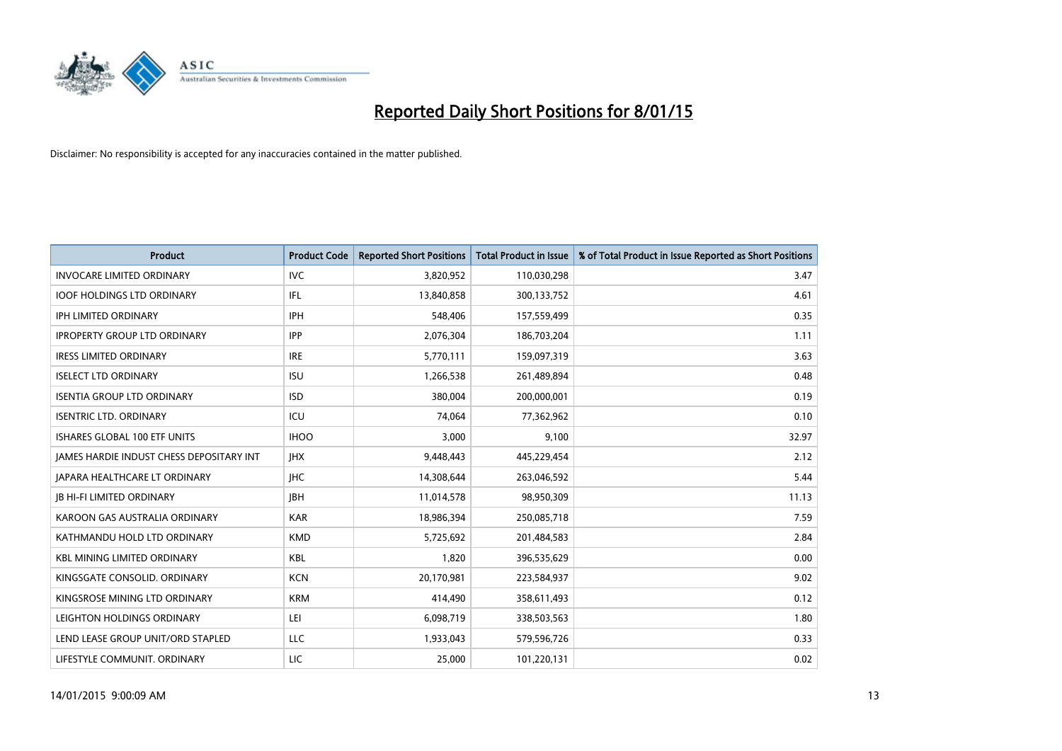

| <b>Product</b>                           | <b>Product Code</b> | <b>Reported Short Positions</b> | <b>Total Product in Issue</b> | % of Total Product in Issue Reported as Short Positions |
|------------------------------------------|---------------------|---------------------------------|-------------------------------|---------------------------------------------------------|
| <b>INVOCARE LIMITED ORDINARY</b>         | <b>IVC</b>          | 3,820,952                       | 110,030,298                   | 3.47                                                    |
| <b>IOOF HOLDINGS LTD ORDINARY</b>        | IFL                 | 13,840,858                      | 300,133,752                   | 4.61                                                    |
| IPH LIMITED ORDINARY                     | <b>IPH</b>          | 548,406                         | 157,559,499                   | 0.35                                                    |
| <b>IPROPERTY GROUP LTD ORDINARY</b>      | <b>IPP</b>          | 2,076,304                       | 186,703,204                   | 1.11                                                    |
| <b>IRESS LIMITED ORDINARY</b>            | <b>IRE</b>          | 5,770,111                       | 159,097,319                   | 3.63                                                    |
| <b>ISELECT LTD ORDINARY</b>              | <b>ISU</b>          | 1,266,538                       | 261,489,894                   | 0.48                                                    |
| <b>ISENTIA GROUP LTD ORDINARY</b>        | <b>ISD</b>          | 380,004                         | 200,000,001                   | 0.19                                                    |
| <b>ISENTRIC LTD. ORDINARY</b>            | ICU                 | 74,064                          | 77,362,962                    | 0.10                                                    |
| <b>ISHARES GLOBAL 100 ETF UNITS</b>      | <b>IHOO</b>         | 3,000                           | 9,100                         | 32.97                                                   |
| JAMES HARDIE INDUST CHESS DEPOSITARY INT | <b>IHX</b>          | 9,448,443                       | 445,229,454                   | 2.12                                                    |
| <b>JAPARA HEALTHCARE LT ORDINARY</b>     | <b>IHC</b>          | 14,308,644                      | 263,046,592                   | 5.44                                                    |
| <b>JB HI-FI LIMITED ORDINARY</b>         | <b>JBH</b>          | 11,014,578                      | 98,950,309                    | 11.13                                                   |
| KAROON GAS AUSTRALIA ORDINARY            | <b>KAR</b>          | 18,986,394                      | 250,085,718                   | 7.59                                                    |
| KATHMANDU HOLD LTD ORDINARY              | <b>KMD</b>          | 5,725,692                       | 201,484,583                   | 2.84                                                    |
| <b>KBL MINING LIMITED ORDINARY</b>       | <b>KBL</b>          | 1,820                           | 396,535,629                   | 0.00                                                    |
| KINGSGATE CONSOLID. ORDINARY             | <b>KCN</b>          | 20,170,981                      | 223,584,937                   | 9.02                                                    |
| KINGSROSE MINING LTD ORDINARY            | <b>KRM</b>          | 414,490                         | 358,611,493                   | 0.12                                                    |
| LEIGHTON HOLDINGS ORDINARY               | LEI                 | 6,098,719                       | 338,503,563                   | 1.80                                                    |
| LEND LEASE GROUP UNIT/ORD STAPLED        | LLC                 | 1,933,043                       | 579,596,726                   | 0.33                                                    |
| LIFESTYLE COMMUNIT. ORDINARY             | LIC                 | 25,000                          | 101,220,131                   | 0.02                                                    |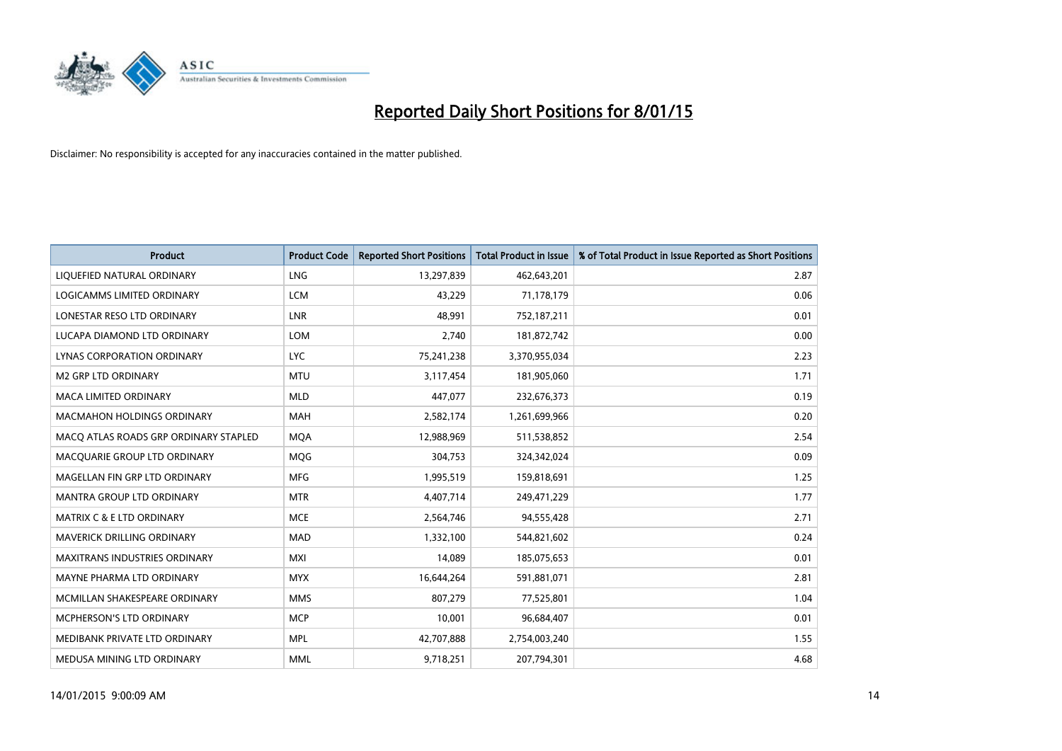

| <b>Product</b>                        | <b>Product Code</b> | <b>Reported Short Positions</b> | <b>Total Product in Issue</b> | % of Total Product in Issue Reported as Short Positions |
|---------------------------------------|---------------------|---------------------------------|-------------------------------|---------------------------------------------------------|
| LIQUEFIED NATURAL ORDINARY            | <b>LNG</b>          | 13,297,839                      | 462,643,201                   | 2.87                                                    |
| LOGICAMMS LIMITED ORDINARY            | <b>LCM</b>          | 43,229                          | 71,178,179                    | 0.06                                                    |
| LONESTAR RESO LTD ORDINARY            | <b>LNR</b>          | 48.991                          | 752,187,211                   | 0.01                                                    |
| LUCAPA DIAMOND LTD ORDINARY           | <b>LOM</b>          | 2,740                           | 181,872,742                   | 0.00                                                    |
| LYNAS CORPORATION ORDINARY            | <b>LYC</b>          | 75,241,238                      | 3,370,955,034                 | 2.23                                                    |
| <b>M2 GRP LTD ORDINARY</b>            | <b>MTU</b>          | 3,117,454                       | 181,905,060                   | 1.71                                                    |
| <b>MACA LIMITED ORDINARY</b>          | <b>MLD</b>          | 447,077                         | 232,676,373                   | 0.19                                                    |
| MACMAHON HOLDINGS ORDINARY            | MAH                 | 2,582,174                       | 1,261,699,966                 | 0.20                                                    |
| MACO ATLAS ROADS GRP ORDINARY STAPLED | <b>MOA</b>          | 12,988,969                      | 511,538,852                   | 2.54                                                    |
| MACQUARIE GROUP LTD ORDINARY          | <b>MOG</b>          | 304,753                         | 324,342,024                   | 0.09                                                    |
| MAGELLAN FIN GRP LTD ORDINARY         | <b>MFG</b>          | 1,995,519                       | 159,818,691                   | 1.25                                                    |
| <b>MANTRA GROUP LTD ORDINARY</b>      | <b>MTR</b>          | 4,407,714                       | 249,471,229                   | 1.77                                                    |
| <b>MATRIX C &amp; E LTD ORDINARY</b>  | <b>MCE</b>          | 2,564,746                       | 94,555,428                    | 2.71                                                    |
| MAVERICK DRILLING ORDINARY            | <b>MAD</b>          | 1,332,100                       | 544,821,602                   | 0.24                                                    |
| <b>MAXITRANS INDUSTRIES ORDINARY</b>  | <b>MXI</b>          | 14,089                          | 185,075,653                   | 0.01                                                    |
| MAYNE PHARMA LTD ORDINARY             | <b>MYX</b>          | 16,644,264                      | 591,881,071                   | 2.81                                                    |
| MCMILLAN SHAKESPEARE ORDINARY         | <b>MMS</b>          | 807,279                         | 77,525,801                    | 1.04                                                    |
| <b>MCPHERSON'S LTD ORDINARY</b>       | <b>MCP</b>          | 10,001                          | 96,684,407                    | 0.01                                                    |
| MEDIBANK PRIVATE LTD ORDINARY         | <b>MPL</b>          | 42,707,888                      | 2,754,003,240                 | 1.55                                                    |
| MEDUSA MINING LTD ORDINARY            | <b>MML</b>          | 9,718,251                       | 207,794,301                   | 4.68                                                    |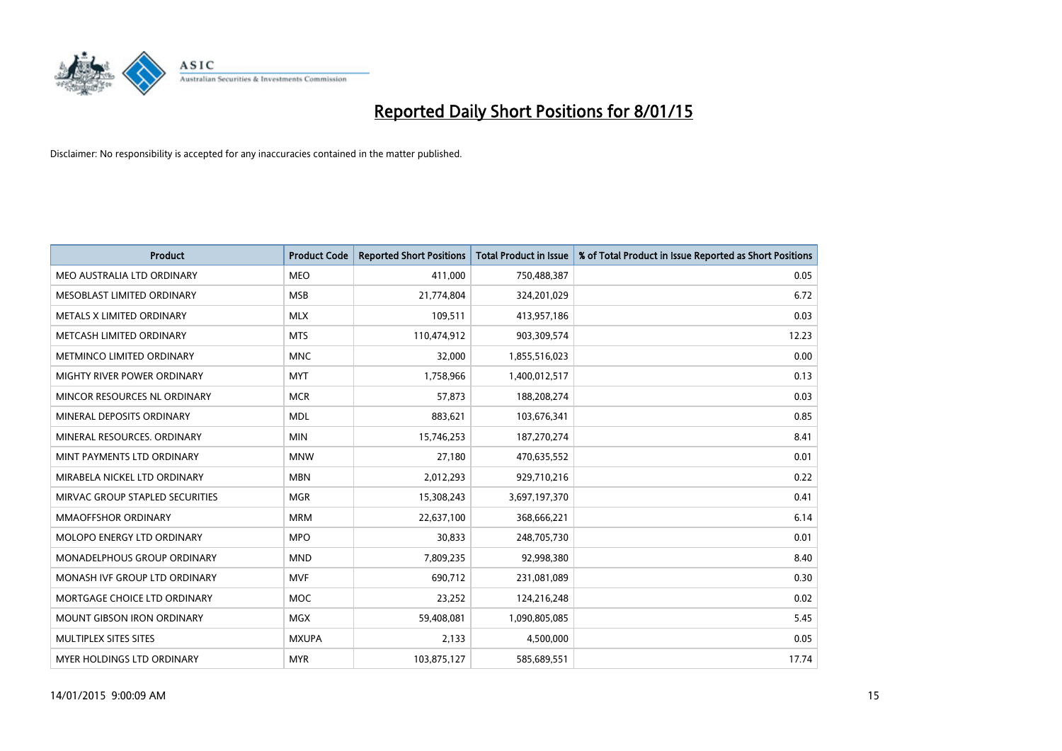

| <b>Product</b>                    | <b>Product Code</b> | <b>Reported Short Positions</b> | <b>Total Product in Issue</b> | % of Total Product in Issue Reported as Short Positions |
|-----------------------------------|---------------------|---------------------------------|-------------------------------|---------------------------------------------------------|
| MEO AUSTRALIA LTD ORDINARY        | <b>MEO</b>          | 411,000                         | 750,488,387                   | 0.05                                                    |
| MESOBLAST LIMITED ORDINARY        | <b>MSB</b>          | 21,774,804                      | 324,201,029                   | 6.72                                                    |
| METALS X LIMITED ORDINARY         | <b>MLX</b>          | 109,511                         | 413,957,186                   | 0.03                                                    |
| METCASH LIMITED ORDINARY          | <b>MTS</b>          | 110,474,912                     | 903,309,574                   | 12.23                                                   |
| METMINCO LIMITED ORDINARY         | <b>MNC</b>          | 32,000                          | 1,855,516,023                 | 0.00                                                    |
| MIGHTY RIVER POWER ORDINARY       | <b>MYT</b>          | 1,758,966                       | 1,400,012,517                 | 0.13                                                    |
| MINCOR RESOURCES NL ORDINARY      | <b>MCR</b>          | 57,873                          | 188,208,274                   | 0.03                                                    |
| MINERAL DEPOSITS ORDINARY         | <b>MDL</b>          | 883,621                         | 103,676,341                   | 0.85                                                    |
| MINERAL RESOURCES, ORDINARY       | <b>MIN</b>          | 15,746,253                      | 187,270,274                   | 8.41                                                    |
| MINT PAYMENTS LTD ORDINARY        | <b>MNW</b>          | 27,180                          | 470,635,552                   | 0.01                                                    |
| MIRABELA NICKEL LTD ORDINARY      | <b>MBN</b>          | 2,012,293                       | 929,710,216                   | 0.22                                                    |
| MIRVAC GROUP STAPLED SECURITIES   | <b>MGR</b>          | 15,308,243                      | 3,697,197,370                 | 0.41                                                    |
| <b>MMAOFFSHOR ORDINARY</b>        | <b>MRM</b>          | 22,637,100                      | 368,666,221                   | 6.14                                                    |
| MOLOPO ENERGY LTD ORDINARY        | <b>MPO</b>          | 30,833                          | 248,705,730                   | 0.01                                                    |
| MONADELPHOUS GROUP ORDINARY       | <b>MND</b>          | 7,809,235                       | 92,998,380                    | 8.40                                                    |
| MONASH IVF GROUP LTD ORDINARY     | <b>MVF</b>          | 690,712                         | 231,081,089                   | 0.30                                                    |
| MORTGAGE CHOICE LTD ORDINARY      | <b>MOC</b>          | 23,252                          | 124,216,248                   | 0.02                                                    |
| <b>MOUNT GIBSON IRON ORDINARY</b> | <b>MGX</b>          | 59,408,081                      | 1,090,805,085                 | 5.45                                                    |
| MULTIPLEX SITES SITES             | <b>MXUPA</b>        | 2,133                           | 4,500,000                     | 0.05                                                    |
| MYER HOLDINGS LTD ORDINARY        | <b>MYR</b>          | 103,875,127                     | 585,689,551                   | 17.74                                                   |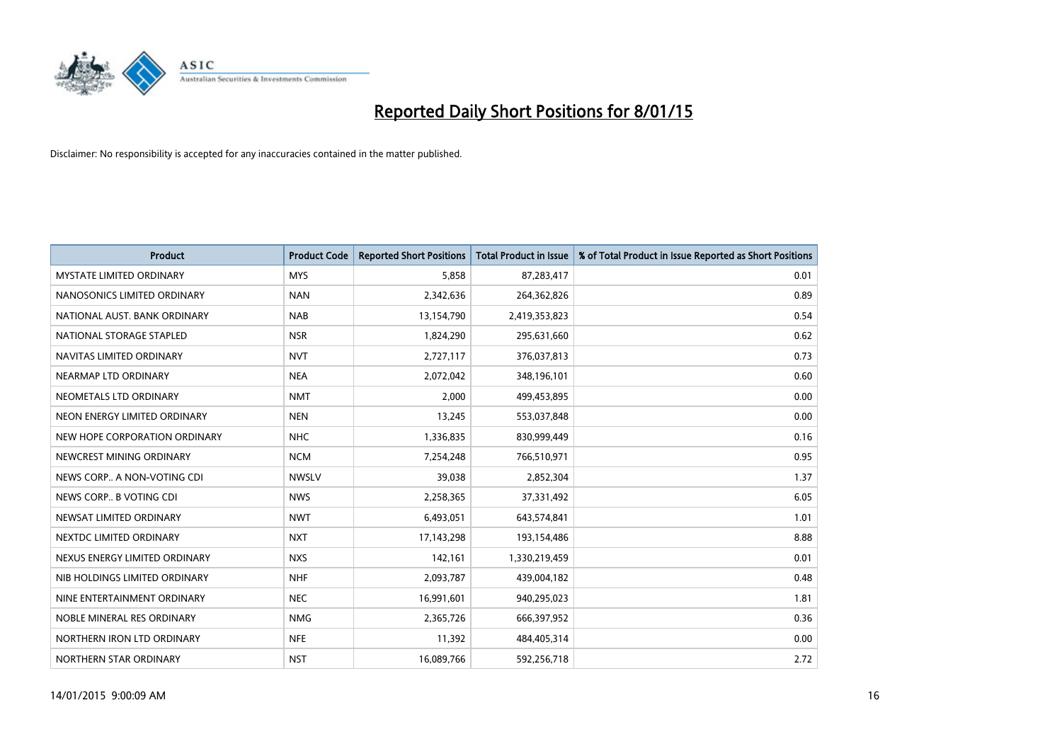

| <b>Product</b>                  | <b>Product Code</b> | <b>Reported Short Positions</b> | <b>Total Product in Issue</b> | % of Total Product in Issue Reported as Short Positions |
|---------------------------------|---------------------|---------------------------------|-------------------------------|---------------------------------------------------------|
| <b>MYSTATE LIMITED ORDINARY</b> | <b>MYS</b>          | 5,858                           | 87,283,417                    | 0.01                                                    |
| NANOSONICS LIMITED ORDINARY     | <b>NAN</b>          | 2,342,636                       | 264,362,826                   | 0.89                                                    |
| NATIONAL AUST. BANK ORDINARY    | <b>NAB</b>          | 13,154,790                      | 2,419,353,823                 | 0.54                                                    |
| NATIONAL STORAGE STAPLED        | <b>NSR</b>          | 1,824,290                       | 295,631,660                   | 0.62                                                    |
| NAVITAS LIMITED ORDINARY        | <b>NVT</b>          | 2,727,117                       | 376,037,813                   | 0.73                                                    |
| NEARMAP LTD ORDINARY            | <b>NEA</b>          | 2,072,042                       | 348,196,101                   | 0.60                                                    |
| NEOMETALS LTD ORDINARY          | <b>NMT</b>          | 2,000                           | 499,453,895                   | 0.00                                                    |
| NEON ENERGY LIMITED ORDINARY    | <b>NEN</b>          | 13,245                          | 553,037,848                   | 0.00                                                    |
| NEW HOPE CORPORATION ORDINARY   | <b>NHC</b>          | 1,336,835                       | 830,999,449                   | 0.16                                                    |
| NEWCREST MINING ORDINARY        | <b>NCM</b>          | 7,254,248                       | 766,510,971                   | 0.95                                                    |
| NEWS CORP A NON-VOTING CDI      | <b>NWSLV</b>        | 39,038                          | 2,852,304                     | 1.37                                                    |
| NEWS CORP B VOTING CDI          | <b>NWS</b>          | 2,258,365                       | 37,331,492                    | 6.05                                                    |
| NEWSAT LIMITED ORDINARY         | <b>NWT</b>          | 6,493,051                       | 643,574,841                   | 1.01                                                    |
| NEXTDC LIMITED ORDINARY         | <b>NXT</b>          | 17,143,298                      | 193,154,486                   | 8.88                                                    |
| NEXUS ENERGY LIMITED ORDINARY   | <b>NXS</b>          | 142,161                         | 1,330,219,459                 | 0.01                                                    |
| NIB HOLDINGS LIMITED ORDINARY   | <b>NHF</b>          | 2,093,787                       | 439,004,182                   | 0.48                                                    |
| NINE ENTERTAINMENT ORDINARY     | <b>NEC</b>          | 16,991,601                      | 940,295,023                   | 1.81                                                    |
| NOBLE MINERAL RES ORDINARY      | <b>NMG</b>          | 2,365,726                       | 666,397,952                   | 0.36                                                    |
| NORTHERN IRON LTD ORDINARY      | <b>NFE</b>          | 11,392                          | 484,405,314                   | 0.00                                                    |
| NORTHERN STAR ORDINARY          | <b>NST</b>          | 16,089,766                      | 592,256,718                   | 2.72                                                    |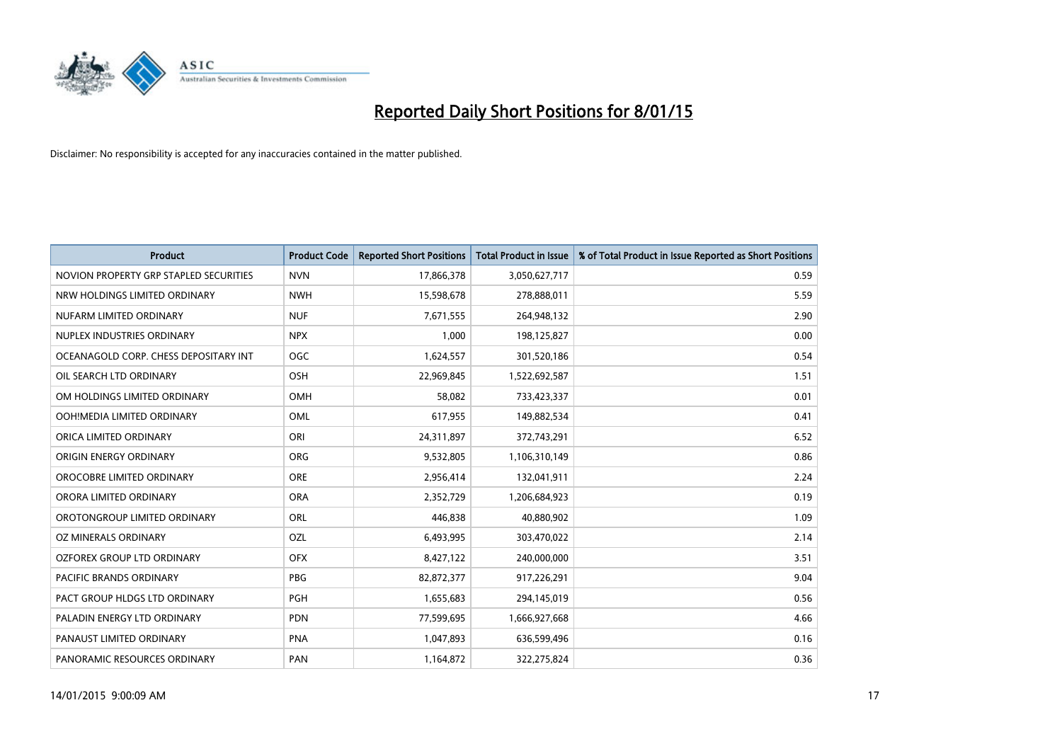

| <b>Product</b>                         | <b>Product Code</b> | <b>Reported Short Positions</b> | <b>Total Product in Issue</b> | % of Total Product in Issue Reported as Short Positions |
|----------------------------------------|---------------------|---------------------------------|-------------------------------|---------------------------------------------------------|
| NOVION PROPERTY GRP STAPLED SECURITIES | <b>NVN</b>          | 17,866,378                      | 3,050,627,717                 | 0.59                                                    |
| NRW HOLDINGS LIMITED ORDINARY          | <b>NWH</b>          | 15,598,678                      | 278,888,011                   | 5.59                                                    |
| NUFARM LIMITED ORDINARY                | <b>NUF</b>          | 7,671,555                       | 264,948,132                   | 2.90                                                    |
| NUPLEX INDUSTRIES ORDINARY             | <b>NPX</b>          | 1.000                           | 198,125,827                   | 0.00                                                    |
| OCEANAGOLD CORP. CHESS DEPOSITARY INT  | <b>OGC</b>          | 1,624,557                       | 301,520,186                   | 0.54                                                    |
| OIL SEARCH LTD ORDINARY                | OSH                 | 22,969,845                      | 1,522,692,587                 | 1.51                                                    |
| OM HOLDINGS LIMITED ORDINARY           | OMH                 | 58,082                          | 733,423,337                   | 0.01                                                    |
| OOH!MEDIA LIMITED ORDINARY             | OML                 | 617,955                         | 149,882,534                   | 0.41                                                    |
| ORICA LIMITED ORDINARY                 | ORI                 | 24,311,897                      | 372,743,291                   | 6.52                                                    |
| ORIGIN ENERGY ORDINARY                 | ORG                 | 9,532,805                       | 1,106,310,149                 | 0.86                                                    |
| OROCOBRE LIMITED ORDINARY              | <b>ORE</b>          | 2,956,414                       | 132,041,911                   | 2.24                                                    |
| ORORA LIMITED ORDINARY                 | <b>ORA</b>          | 2,352,729                       | 1,206,684,923                 | 0.19                                                    |
| OROTONGROUP LIMITED ORDINARY           | <b>ORL</b>          | 446,838                         | 40,880,902                    | 1.09                                                    |
| OZ MINERALS ORDINARY                   | OZL                 | 6,493,995                       | 303,470,022                   | 2.14                                                    |
| OZFOREX GROUP LTD ORDINARY             | <b>OFX</b>          | 8,427,122                       | 240,000,000                   | 3.51                                                    |
| PACIFIC BRANDS ORDINARY                | <b>PBG</b>          | 82,872,377                      | 917,226,291                   | 9.04                                                    |
| PACT GROUP HLDGS LTD ORDINARY          | PGH                 | 1,655,683                       | 294,145,019                   | 0.56                                                    |
| PALADIN ENERGY LTD ORDINARY            | <b>PDN</b>          | 77,599,695                      | 1,666,927,668                 | 4.66                                                    |
| PANAUST LIMITED ORDINARY               | <b>PNA</b>          | 1,047,893                       | 636,599,496                   | 0.16                                                    |
| PANORAMIC RESOURCES ORDINARY           | PAN                 | 1,164,872                       | 322,275,824                   | 0.36                                                    |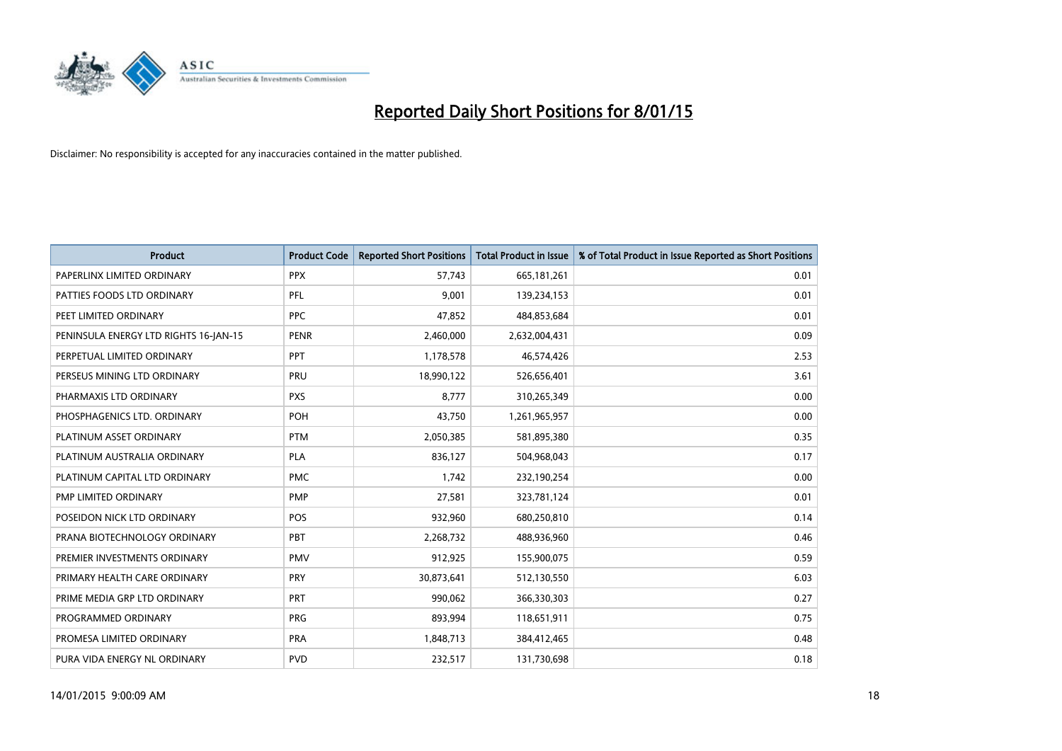

| <b>Product</b>                        | <b>Product Code</b> | <b>Reported Short Positions</b> | <b>Total Product in Issue</b> | % of Total Product in Issue Reported as Short Positions |
|---------------------------------------|---------------------|---------------------------------|-------------------------------|---------------------------------------------------------|
| PAPERLINX LIMITED ORDINARY            | <b>PPX</b>          | 57,743                          | 665, 181, 261                 | 0.01                                                    |
| PATTIES FOODS LTD ORDINARY            | <b>PFL</b>          | 9,001                           | 139,234,153                   | 0.01                                                    |
| PEET LIMITED ORDINARY                 | <b>PPC</b>          | 47,852                          | 484,853,684                   | 0.01                                                    |
| PENINSULA ENERGY LTD RIGHTS 16-JAN-15 | <b>PENR</b>         | 2,460,000                       | 2,632,004,431                 | 0.09                                                    |
| PERPETUAL LIMITED ORDINARY            | <b>PPT</b>          | 1,178,578                       | 46,574,426                    | 2.53                                                    |
| PERSEUS MINING LTD ORDINARY           | PRU                 | 18,990,122                      | 526,656,401                   | 3.61                                                    |
| PHARMAXIS LTD ORDINARY                | <b>PXS</b>          | 8,777                           | 310,265,349                   | 0.00                                                    |
| PHOSPHAGENICS LTD. ORDINARY           | POH                 | 43,750                          | 1,261,965,957                 | 0.00                                                    |
| PLATINUM ASSET ORDINARY               | <b>PTM</b>          | 2,050,385                       | 581,895,380                   | 0.35                                                    |
| PLATINUM AUSTRALIA ORDINARY           | <b>PLA</b>          | 836,127                         | 504,968,043                   | 0.17                                                    |
| PLATINUM CAPITAL LTD ORDINARY         | <b>PMC</b>          | 1,742                           | 232,190,254                   | 0.00                                                    |
| PMP LIMITED ORDINARY                  | <b>PMP</b>          | 27,581                          | 323,781,124                   | 0.01                                                    |
| POSEIDON NICK LTD ORDINARY            | <b>POS</b>          | 932,960                         | 680,250,810                   | 0.14                                                    |
| PRANA BIOTECHNOLOGY ORDINARY          | PBT                 | 2,268,732                       | 488,936,960                   | 0.46                                                    |
| PREMIER INVESTMENTS ORDINARY          | <b>PMV</b>          | 912,925                         | 155,900,075                   | 0.59                                                    |
| PRIMARY HEALTH CARE ORDINARY          | PRY                 | 30,873,641                      | 512,130,550                   | 6.03                                                    |
| PRIME MEDIA GRP LTD ORDINARY          | PRT                 | 990,062                         | 366,330,303                   | 0.27                                                    |
| PROGRAMMED ORDINARY                   | <b>PRG</b>          | 893,994                         | 118,651,911                   | 0.75                                                    |
| PROMESA LIMITED ORDINARY              | <b>PRA</b>          | 1,848,713                       | 384,412,465                   | 0.48                                                    |
| PURA VIDA ENERGY NL ORDINARY          | <b>PVD</b>          | 232,517                         | 131,730,698                   | 0.18                                                    |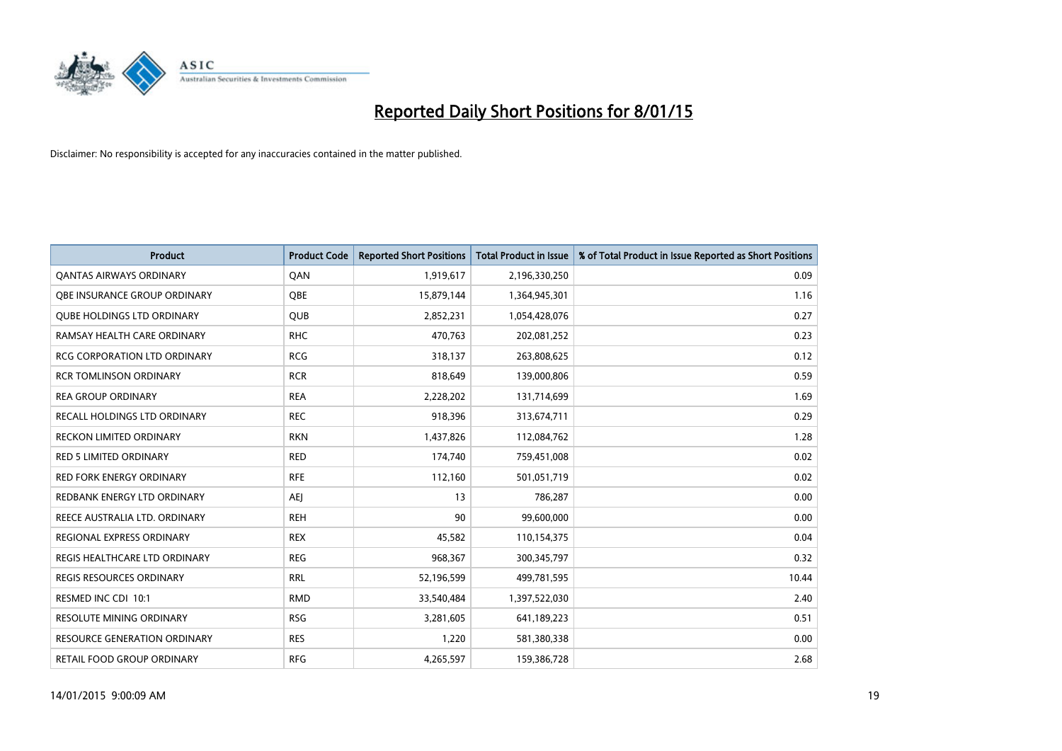

| <b>Product</b>                      | <b>Product Code</b> | <b>Reported Short Positions</b> | <b>Total Product in Issue</b> | % of Total Product in Issue Reported as Short Positions |
|-------------------------------------|---------------------|---------------------------------|-------------------------------|---------------------------------------------------------|
| <b>QANTAS AIRWAYS ORDINARY</b>      | QAN                 | 1,919,617                       | 2,196,330,250                 | 0.09                                                    |
| OBE INSURANCE GROUP ORDINARY        | OBE                 | 15,879,144                      | 1,364,945,301                 | 1.16                                                    |
| <b>QUBE HOLDINGS LTD ORDINARY</b>   | QUB                 | 2,852,231                       | 1,054,428,076                 | 0.27                                                    |
| RAMSAY HEALTH CARE ORDINARY         | <b>RHC</b>          | 470,763                         | 202,081,252                   | 0.23                                                    |
| <b>RCG CORPORATION LTD ORDINARY</b> | <b>RCG</b>          | 318,137                         | 263,808,625                   | 0.12                                                    |
| <b>RCR TOMLINSON ORDINARY</b>       | <b>RCR</b>          | 818,649                         | 139,000,806                   | 0.59                                                    |
| <b>REA GROUP ORDINARY</b>           | <b>REA</b>          | 2,228,202                       | 131,714,699                   | 1.69                                                    |
| RECALL HOLDINGS LTD ORDINARY        | <b>REC</b>          | 918,396                         | 313,674,711                   | 0.29                                                    |
| <b>RECKON LIMITED ORDINARY</b>      | <b>RKN</b>          | 1,437,826                       | 112,084,762                   | 1.28                                                    |
| <b>RED 5 LIMITED ORDINARY</b>       | <b>RED</b>          | 174,740                         | 759,451,008                   | 0.02                                                    |
| RED FORK ENERGY ORDINARY            | <b>RFE</b>          | 112,160                         | 501,051,719                   | 0.02                                                    |
| REDBANK ENERGY LTD ORDINARY         | <b>AEJ</b>          | 13                              | 786,287                       | 0.00                                                    |
| REECE AUSTRALIA LTD. ORDINARY       | <b>REH</b>          | 90                              | 99,600,000                    | 0.00                                                    |
| <b>REGIONAL EXPRESS ORDINARY</b>    | <b>REX</b>          | 45,582                          | 110,154,375                   | 0.04                                                    |
| REGIS HEALTHCARE LTD ORDINARY       | <b>REG</b>          | 968,367                         | 300,345,797                   | 0.32                                                    |
| REGIS RESOURCES ORDINARY            | <b>RRL</b>          | 52,196,599                      | 499,781,595                   | 10.44                                                   |
| RESMED INC CDI 10:1                 | <b>RMD</b>          | 33,540,484                      | 1,397,522,030                 | 2.40                                                    |
| RESOLUTE MINING ORDINARY            | <b>RSG</b>          | 3,281,605                       | 641,189,223                   | 0.51                                                    |
| <b>RESOURCE GENERATION ORDINARY</b> | <b>RES</b>          | 1,220                           | 581,380,338                   | 0.00                                                    |
| RETAIL FOOD GROUP ORDINARY          | <b>RFG</b>          | 4,265,597                       | 159,386,728                   | 2.68                                                    |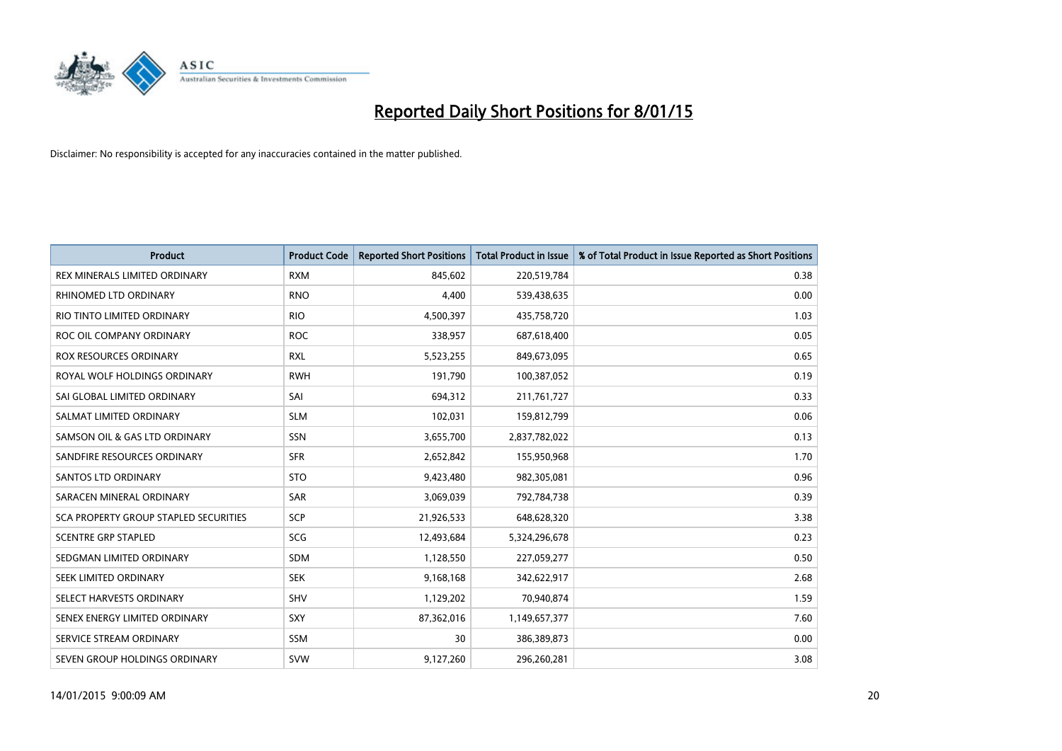

| <b>Product</b>                        | <b>Product Code</b> | <b>Reported Short Positions</b> | <b>Total Product in Issue</b> | % of Total Product in Issue Reported as Short Positions |
|---------------------------------------|---------------------|---------------------------------|-------------------------------|---------------------------------------------------------|
| REX MINERALS LIMITED ORDINARY         | <b>RXM</b>          | 845,602                         | 220,519,784                   | 0.38                                                    |
| RHINOMED LTD ORDINARY                 | <b>RNO</b>          | 4,400                           | 539,438,635                   | 0.00                                                    |
| RIO TINTO LIMITED ORDINARY            | <b>RIO</b>          | 4,500,397                       | 435,758,720                   | 1.03                                                    |
| ROC OIL COMPANY ORDINARY              | <b>ROC</b>          | 338,957                         | 687,618,400                   | 0.05                                                    |
| <b>ROX RESOURCES ORDINARY</b>         | <b>RXL</b>          | 5,523,255                       | 849,673,095                   | 0.65                                                    |
| ROYAL WOLF HOLDINGS ORDINARY          | <b>RWH</b>          | 191,790                         | 100,387,052                   | 0.19                                                    |
| SAI GLOBAL LIMITED ORDINARY           | SAI                 | 694,312                         | 211,761,727                   | 0.33                                                    |
| SALMAT LIMITED ORDINARY               | <b>SLM</b>          | 102,031                         | 159,812,799                   | 0.06                                                    |
| SAMSON OIL & GAS LTD ORDINARY         | SSN                 | 3,655,700                       | 2,837,782,022                 | 0.13                                                    |
| SANDFIRE RESOURCES ORDINARY           | <b>SFR</b>          | 2,652,842                       | 155,950,968                   | 1.70                                                    |
| <b>SANTOS LTD ORDINARY</b>            | <b>STO</b>          | 9,423,480                       | 982,305,081                   | 0.96                                                    |
| SARACEN MINERAL ORDINARY              | SAR                 | 3,069,039                       | 792,784,738                   | 0.39                                                    |
| SCA PROPERTY GROUP STAPLED SECURITIES | SCP                 | 21,926,533                      | 648,628,320                   | 3.38                                                    |
| <b>SCENTRE GRP STAPLED</b>            | SCG                 | 12,493,684                      | 5,324,296,678                 | 0.23                                                    |
| SEDGMAN LIMITED ORDINARY              | <b>SDM</b>          | 1,128,550                       | 227,059,277                   | 0.50                                                    |
| SEEK LIMITED ORDINARY                 | <b>SEK</b>          | 9,168,168                       | 342,622,917                   | 2.68                                                    |
| SELECT HARVESTS ORDINARY              | SHV                 | 1,129,202                       | 70,940,874                    | 1.59                                                    |
| SENEX ENERGY LIMITED ORDINARY         | <b>SXY</b>          | 87,362,016                      | 1,149,657,377                 | 7.60                                                    |
| SERVICE STREAM ORDINARY               | <b>SSM</b>          | 30                              | 386,389,873                   | 0.00                                                    |
| SEVEN GROUP HOLDINGS ORDINARY         | <b>SVW</b>          | 9,127,260                       | 296,260,281                   | 3.08                                                    |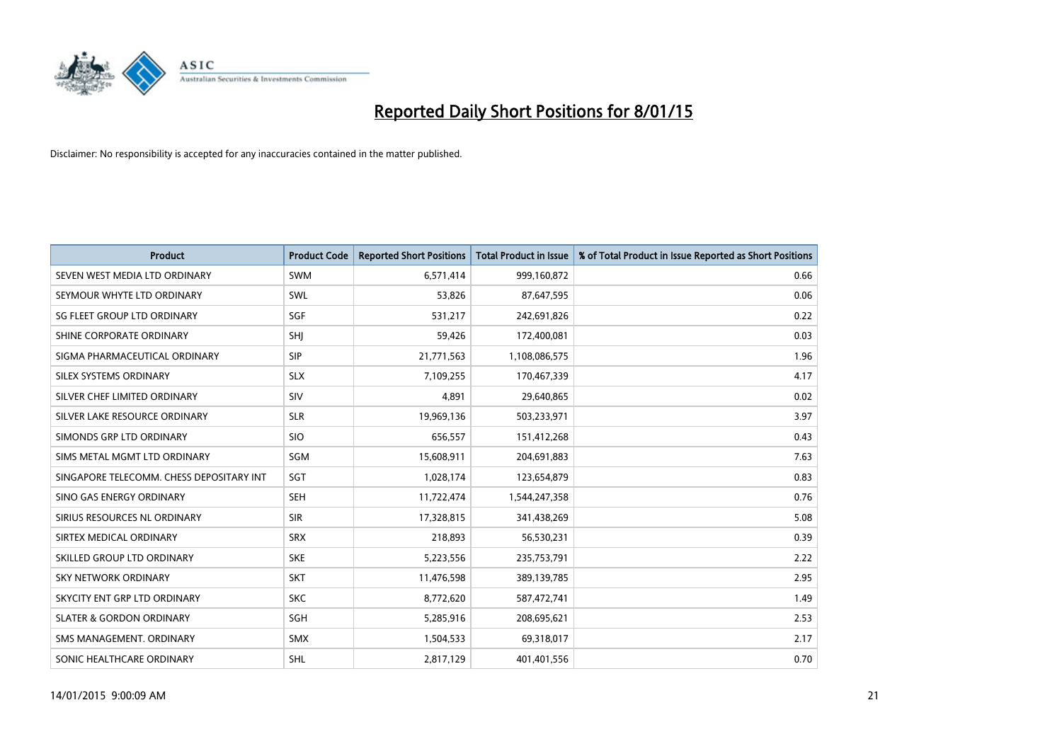

| <b>Product</b>                           | <b>Product Code</b> | <b>Reported Short Positions</b> | <b>Total Product in Issue</b> | % of Total Product in Issue Reported as Short Positions |
|------------------------------------------|---------------------|---------------------------------|-------------------------------|---------------------------------------------------------|
| SEVEN WEST MEDIA LTD ORDINARY            | <b>SWM</b>          | 6,571,414                       | 999,160,872                   | 0.66                                                    |
| SEYMOUR WHYTE LTD ORDINARY               | SWL                 | 53,826                          | 87,647,595                    | 0.06                                                    |
| SG FLEET GROUP LTD ORDINARY              | SGF                 | 531,217                         | 242,691,826                   | 0.22                                                    |
| SHINE CORPORATE ORDINARY                 | SHJ                 | 59,426                          | 172,400,081                   | 0.03                                                    |
| SIGMA PHARMACEUTICAL ORDINARY            | <b>SIP</b>          | 21,771,563                      | 1,108,086,575                 | 1.96                                                    |
| SILEX SYSTEMS ORDINARY                   | <b>SLX</b>          | 7,109,255                       | 170,467,339                   | 4.17                                                    |
| SILVER CHEF LIMITED ORDINARY             | <b>SIV</b>          | 4,891                           | 29,640,865                    | 0.02                                                    |
| SILVER LAKE RESOURCE ORDINARY            | <b>SLR</b>          | 19,969,136                      | 503,233,971                   | 3.97                                                    |
| SIMONDS GRP LTD ORDINARY                 | <b>SIO</b>          | 656,557                         | 151,412,268                   | 0.43                                                    |
| SIMS METAL MGMT LTD ORDINARY             | SGM                 | 15,608,911                      | 204,691,883                   | 7.63                                                    |
| SINGAPORE TELECOMM. CHESS DEPOSITARY INT | SGT                 | 1,028,174                       | 123,654,879                   | 0.83                                                    |
| SINO GAS ENERGY ORDINARY                 | <b>SEH</b>          | 11,722,474                      | 1,544,247,358                 | 0.76                                                    |
| SIRIUS RESOURCES NL ORDINARY             | <b>SIR</b>          | 17,328,815                      | 341,438,269                   | 5.08                                                    |
| SIRTEX MEDICAL ORDINARY                  | <b>SRX</b>          | 218,893                         | 56,530,231                    | 0.39                                                    |
| SKILLED GROUP LTD ORDINARY               | <b>SKE</b>          | 5,223,556                       | 235,753,791                   | 2.22                                                    |
| SKY NETWORK ORDINARY                     | <b>SKT</b>          | 11,476,598                      | 389,139,785                   | 2.95                                                    |
| SKYCITY ENT GRP LTD ORDINARY             | <b>SKC</b>          | 8,772,620                       | 587,472,741                   | 1.49                                                    |
| <b>SLATER &amp; GORDON ORDINARY</b>      | SGH                 | 5,285,916                       | 208,695,621                   | 2.53                                                    |
| SMS MANAGEMENT, ORDINARY                 | <b>SMX</b>          | 1,504,533                       | 69,318,017                    | 2.17                                                    |
| SONIC HEALTHCARE ORDINARY                | SHL                 | 2,817,129                       | 401,401,556                   | 0.70                                                    |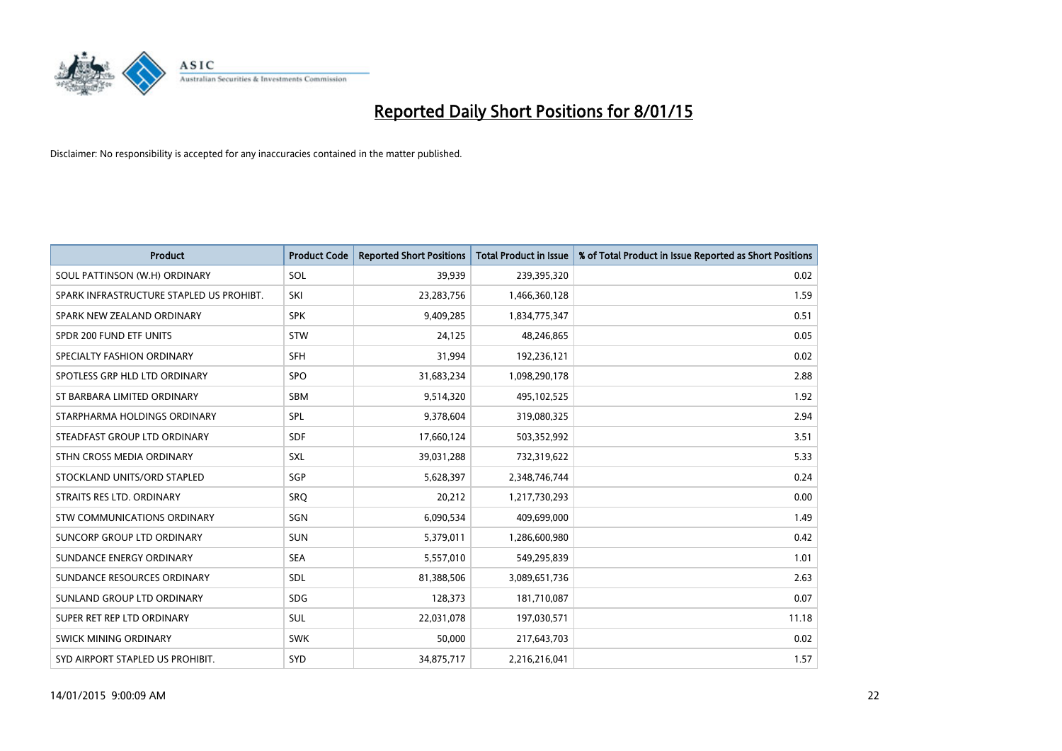

| <b>Product</b>                           | <b>Product Code</b> | <b>Reported Short Positions</b> | <b>Total Product in Issue</b> | % of Total Product in Issue Reported as Short Positions |
|------------------------------------------|---------------------|---------------------------------|-------------------------------|---------------------------------------------------------|
| SOUL PATTINSON (W.H) ORDINARY            | SOL                 | 39,939                          | 239,395,320                   | 0.02                                                    |
| SPARK INFRASTRUCTURE STAPLED US PROHIBT. | SKI                 | 23,283,756                      | 1,466,360,128                 | 1.59                                                    |
| SPARK NEW ZEALAND ORDINARY               | <b>SPK</b>          | 9,409,285                       | 1,834,775,347                 | 0.51                                                    |
| SPDR 200 FUND ETF UNITS                  | <b>STW</b>          | 24,125                          | 48,246,865                    | 0.05                                                    |
| SPECIALTY FASHION ORDINARY               | <b>SFH</b>          | 31,994                          | 192,236,121                   | 0.02                                                    |
| SPOTLESS GRP HLD LTD ORDINARY            | <b>SPO</b>          | 31,683,234                      | 1,098,290,178                 | 2.88                                                    |
| ST BARBARA LIMITED ORDINARY              | SBM                 | 9,514,320                       | 495,102,525                   | 1.92                                                    |
| STARPHARMA HOLDINGS ORDINARY             | SPL                 | 9,378,604                       | 319,080,325                   | 2.94                                                    |
| STEADFAST GROUP LTD ORDINARY             | <b>SDF</b>          | 17,660,124                      | 503,352,992                   | 3.51                                                    |
| STHN CROSS MEDIA ORDINARY                | <b>SXL</b>          | 39,031,288                      | 732,319,622                   | 5.33                                                    |
| STOCKLAND UNITS/ORD STAPLED              | <b>SGP</b>          | 5,628,397                       | 2,348,746,744                 | 0.24                                                    |
| STRAITS RES LTD. ORDINARY                | <b>SRO</b>          | 20,212                          | 1,217,730,293                 | 0.00                                                    |
| STW COMMUNICATIONS ORDINARY              | SGN                 | 6,090,534                       | 409,699,000                   | 1.49                                                    |
| <b>SUNCORP GROUP LTD ORDINARY</b>        | <b>SUN</b>          | 5,379,011                       | 1,286,600,980                 | 0.42                                                    |
| SUNDANCE ENERGY ORDINARY                 | <b>SEA</b>          | 5,557,010                       | 549,295,839                   | 1.01                                                    |
| SUNDANCE RESOURCES ORDINARY              | SDL                 | 81,388,506                      | 3,089,651,736                 | 2.63                                                    |
| SUNLAND GROUP LTD ORDINARY               | <b>SDG</b>          | 128,373                         | 181,710,087                   | 0.07                                                    |
| SUPER RET REP LTD ORDINARY               | SUL                 | 22,031,078                      | 197,030,571                   | 11.18                                                   |
| SWICK MINING ORDINARY                    | <b>SWK</b>          | 50,000                          | 217,643,703                   | 0.02                                                    |
| SYD AIRPORT STAPLED US PROHIBIT.         | <b>SYD</b>          | 34,875,717                      | 2,216,216,041                 | 1.57                                                    |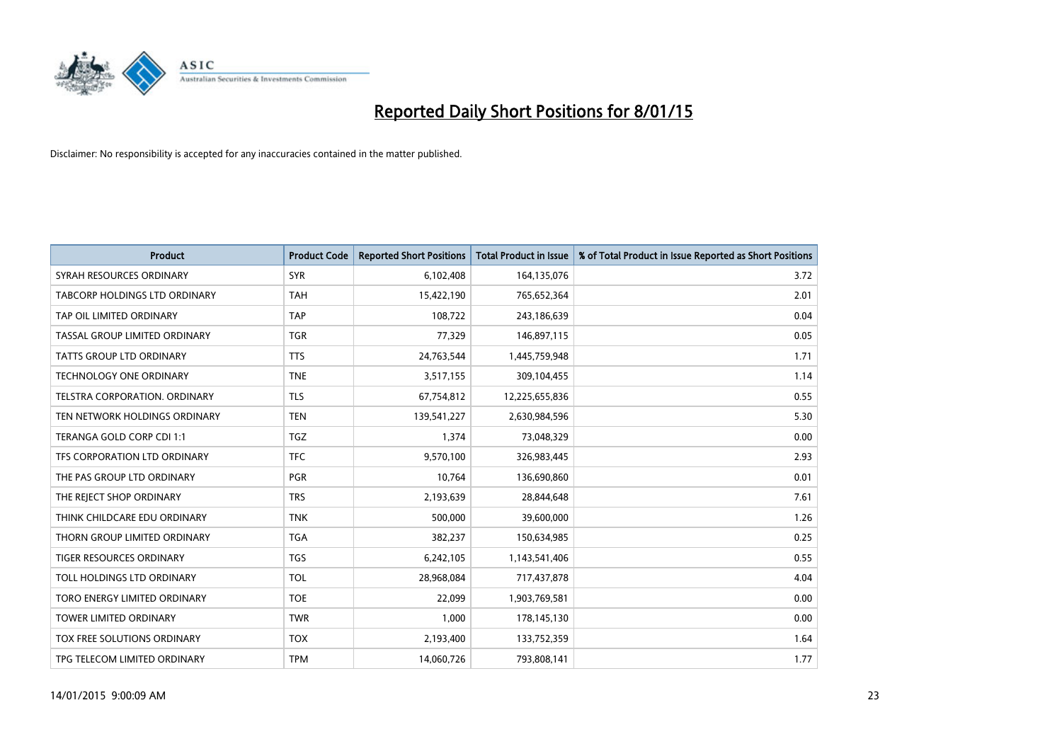

| <b>Product</b>                     | <b>Product Code</b> | <b>Reported Short Positions</b> | <b>Total Product in Issue</b> | % of Total Product in Issue Reported as Short Positions |
|------------------------------------|---------------------|---------------------------------|-------------------------------|---------------------------------------------------------|
| SYRAH RESOURCES ORDINARY           | <b>SYR</b>          | 6,102,408                       | 164,135,076                   | 3.72                                                    |
| TABCORP HOLDINGS LTD ORDINARY      | <b>TAH</b>          | 15,422,190                      | 765,652,364                   | 2.01                                                    |
| TAP OIL LIMITED ORDINARY           | <b>TAP</b>          | 108,722                         | 243,186,639                   | 0.04                                                    |
| TASSAL GROUP LIMITED ORDINARY      | <b>TGR</b>          | 77,329                          | 146,897,115                   | 0.05                                                    |
| <b>TATTS GROUP LTD ORDINARY</b>    | <b>TTS</b>          | 24,763,544                      | 1,445,759,948                 | 1.71                                                    |
| <b>TECHNOLOGY ONE ORDINARY</b>     | <b>TNE</b>          | 3,517,155                       | 309,104,455                   | 1.14                                                    |
| TELSTRA CORPORATION. ORDINARY      | <b>TLS</b>          | 67,754,812                      | 12,225,655,836                | 0.55                                                    |
| TEN NETWORK HOLDINGS ORDINARY      | <b>TEN</b>          | 139,541,227                     | 2,630,984,596                 | 5.30                                                    |
| TERANGA GOLD CORP CDI 1:1          | <b>TGZ</b>          | 1,374                           | 73,048,329                    | 0.00                                                    |
| TFS CORPORATION LTD ORDINARY       | <b>TFC</b>          | 9,570,100                       | 326,983,445                   | 2.93                                                    |
| THE PAS GROUP LTD ORDINARY         | PGR                 | 10,764                          | 136,690,860                   | 0.01                                                    |
| THE REJECT SHOP ORDINARY           | <b>TRS</b>          | 2,193,639                       | 28,844,648                    | 7.61                                                    |
| THINK CHILDCARE EDU ORDINARY       | <b>TNK</b>          | 500,000                         | 39,600,000                    | 1.26                                                    |
| THORN GROUP LIMITED ORDINARY       | <b>TGA</b>          | 382,237                         | 150,634,985                   | 0.25                                                    |
| TIGER RESOURCES ORDINARY           | <b>TGS</b>          | 6,242,105                       | 1,143,541,406                 | 0.55                                                    |
| TOLL HOLDINGS LTD ORDINARY         | <b>TOL</b>          | 28,968,084                      | 717,437,878                   | 4.04                                                    |
| TORO ENERGY LIMITED ORDINARY       | <b>TOE</b>          | 22,099                          | 1,903,769,581                 | 0.00                                                    |
| <b>TOWER LIMITED ORDINARY</b>      | <b>TWR</b>          | 1,000                           | 178,145,130                   | 0.00                                                    |
| <b>TOX FREE SOLUTIONS ORDINARY</b> | <b>TOX</b>          | 2,193,400                       | 133,752,359                   | 1.64                                                    |
| TPG TELECOM LIMITED ORDINARY       | <b>TPM</b>          | 14,060,726                      | 793,808,141                   | 1.77                                                    |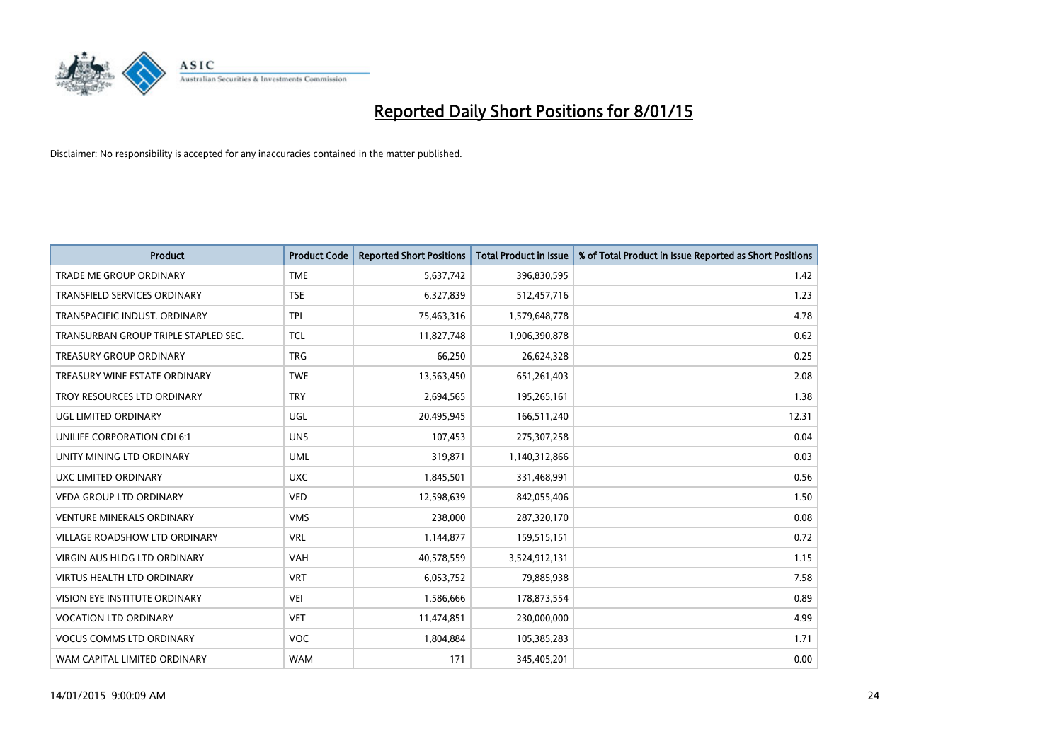

| <b>Product</b>                       | <b>Product Code</b> | <b>Reported Short Positions</b> | <b>Total Product in Issue</b> | % of Total Product in Issue Reported as Short Positions |
|--------------------------------------|---------------------|---------------------------------|-------------------------------|---------------------------------------------------------|
| <b>TRADE ME GROUP ORDINARY</b>       | <b>TME</b>          | 5,637,742                       | 396,830,595                   | 1.42                                                    |
| TRANSFIELD SERVICES ORDINARY         | <b>TSE</b>          | 6,327,839                       | 512,457,716                   | 1.23                                                    |
| TRANSPACIFIC INDUST, ORDINARY        | <b>TPI</b>          | 75,463,316                      | 1,579,648,778                 | 4.78                                                    |
| TRANSURBAN GROUP TRIPLE STAPLED SEC. | TCL                 | 11,827,748                      | 1,906,390,878                 | 0.62                                                    |
| <b>TREASURY GROUP ORDINARY</b>       | <b>TRG</b>          | 66,250                          | 26,624,328                    | 0.25                                                    |
| TREASURY WINE ESTATE ORDINARY        | <b>TWE</b>          | 13,563,450                      | 651,261,403                   | 2.08                                                    |
| TROY RESOURCES LTD ORDINARY          | <b>TRY</b>          | 2,694,565                       | 195,265,161                   | 1.38                                                    |
| UGL LIMITED ORDINARY                 | UGL                 | 20,495,945                      | 166,511,240                   | 12.31                                                   |
| UNILIFE CORPORATION CDI 6:1          | <b>UNS</b>          | 107,453                         | 275,307,258                   | 0.04                                                    |
| UNITY MINING LTD ORDINARY            | <b>UML</b>          | 319,871                         | 1,140,312,866                 | 0.03                                                    |
| UXC LIMITED ORDINARY                 | <b>UXC</b>          | 1,845,501                       | 331,468,991                   | 0.56                                                    |
| <b>VEDA GROUP LTD ORDINARY</b>       | <b>VED</b>          | 12,598,639                      | 842,055,406                   | 1.50                                                    |
| <b>VENTURE MINERALS ORDINARY</b>     | <b>VMS</b>          | 238,000                         | 287,320,170                   | 0.08                                                    |
| <b>VILLAGE ROADSHOW LTD ORDINARY</b> | <b>VRL</b>          | 1,144,877                       | 159,515,151                   | 0.72                                                    |
| VIRGIN AUS HLDG LTD ORDINARY         | <b>VAH</b>          | 40,578,559                      | 3,524,912,131                 | 1.15                                                    |
| VIRTUS HEALTH LTD ORDINARY           | <b>VRT</b>          | 6,053,752                       | 79,885,938                    | 7.58                                                    |
| VISION EYE INSTITUTE ORDINARY        | <b>VEI</b>          | 1,586,666                       | 178,873,554                   | 0.89                                                    |
| <b>VOCATION LTD ORDINARY</b>         | <b>VET</b>          | 11,474,851                      | 230,000,000                   | 4.99                                                    |
| <b>VOCUS COMMS LTD ORDINARY</b>      | <b>VOC</b>          | 1,804,884                       | 105,385,283                   | 1.71                                                    |
| WAM CAPITAL LIMITED ORDINARY         | <b>WAM</b>          | 171                             | 345,405,201                   | 0.00                                                    |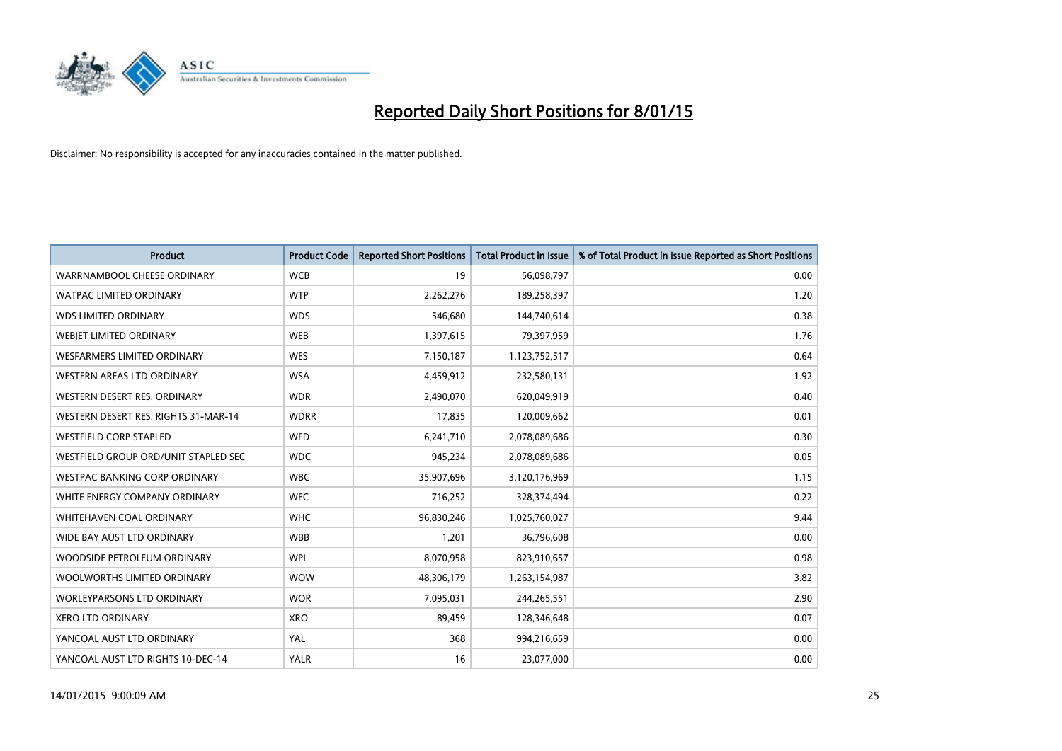

| <b>Product</b>                       | <b>Product Code</b> | <b>Reported Short Positions</b> | <b>Total Product in Issue</b> | % of Total Product in Issue Reported as Short Positions |
|--------------------------------------|---------------------|---------------------------------|-------------------------------|---------------------------------------------------------|
| WARRNAMBOOL CHEESE ORDINARY          | <b>WCB</b>          | 19                              | 56,098,797                    | 0.00                                                    |
| <b>WATPAC LIMITED ORDINARY</b>       | <b>WTP</b>          | 2,262,276                       | 189,258,397                   | 1.20                                                    |
| <b>WDS LIMITED ORDINARY</b>          | <b>WDS</b>          | 546,680                         | 144,740,614                   | 0.38                                                    |
| WEBJET LIMITED ORDINARY              | <b>WEB</b>          | 1,397,615                       | 79,397,959                    | 1.76                                                    |
| <b>WESFARMERS LIMITED ORDINARY</b>   | <b>WES</b>          | 7,150,187                       | 1,123,752,517                 | 0.64                                                    |
| WESTERN AREAS LTD ORDINARY           | <b>WSA</b>          | 4,459,912                       | 232,580,131                   | 1.92                                                    |
| WESTERN DESERT RES. ORDINARY         | <b>WDR</b>          | 2,490,070                       | 620,049,919                   | 0.40                                                    |
| WESTERN DESERT RES. RIGHTS 31-MAR-14 | <b>WDRR</b>         | 17,835                          | 120,009,662                   | 0.01                                                    |
| <b>WESTFIELD CORP STAPLED</b>        | <b>WFD</b>          | 6,241,710                       | 2,078,089,686                 | 0.30                                                    |
| WESTFIELD GROUP ORD/UNIT STAPLED SEC | <b>WDC</b>          | 945,234                         | 2,078,089,686                 | 0.05                                                    |
| WESTPAC BANKING CORP ORDINARY        | <b>WBC</b>          | 35,907,696                      | 3,120,176,969                 | 1.15                                                    |
| WHITE ENERGY COMPANY ORDINARY        | <b>WEC</b>          | 716,252                         | 328,374,494                   | 0.22                                                    |
| WHITEHAVEN COAL ORDINARY             | <b>WHC</b>          | 96,830,246                      | 1,025,760,027                 | 9.44                                                    |
| WIDE BAY AUST LTD ORDINARY           | <b>WBB</b>          | 1,201                           | 36,796,608                    | 0.00                                                    |
| WOODSIDE PETROLEUM ORDINARY          | <b>WPL</b>          | 8,070,958                       | 823,910,657                   | 0.98                                                    |
| WOOLWORTHS LIMITED ORDINARY          | <b>WOW</b>          | 48,306,179                      | 1,263,154,987                 | 3.82                                                    |
| <b>WORLEYPARSONS LTD ORDINARY</b>    | <b>WOR</b>          | 7,095,031                       | 244,265,551                   | 2.90                                                    |
| <b>XERO LTD ORDINARY</b>             | <b>XRO</b>          | 89,459                          | 128,346,648                   | 0.07                                                    |
| YANCOAL AUST LTD ORDINARY            | YAL                 | 368                             | 994,216,659                   | 0.00                                                    |
| YANCOAL AUST LTD RIGHTS 10-DEC-14    | <b>YALR</b>         | 16                              | 23,077,000                    | 0.00                                                    |